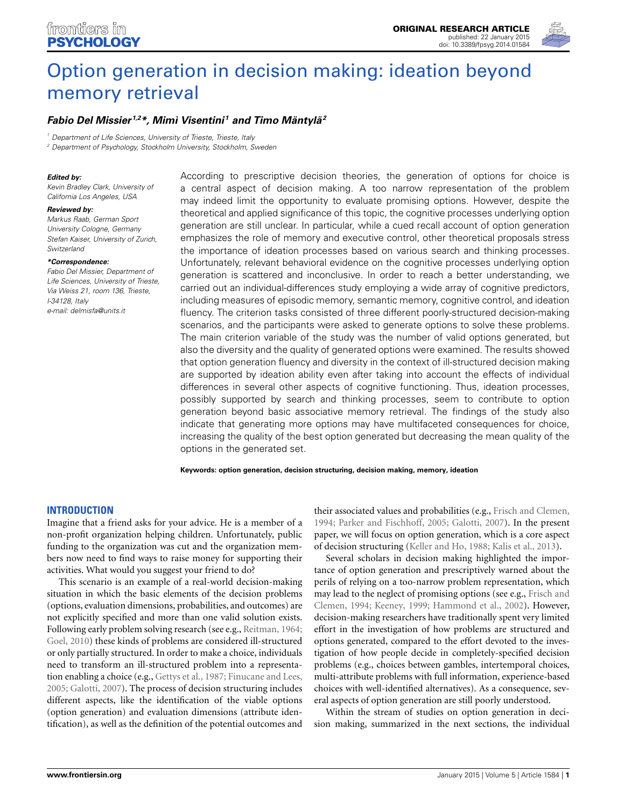

# [Option generation in decision making: ideation beyond](http://www.frontiersin.org/journal/10.3389/fpsyg.2014.01584/abstract) memory retrieval

## *[Fabio Del Missier](http://community.frontiersin.org/people/u/154828) 1,2\*, Mimì Visentini <sup>1</sup> and Timo Mäntylä2*

*<sup>1</sup> Department of Life Sciences, University of Trieste, Trieste, Italy*

*<sup>2</sup> Department of Psychology, Stockholm University, Stockholm, Sweden*

#### *Edited by:*

*Kevin Bradley Clark, University of California Los Angeles, USA*

#### *Reviewed by:*

*Markus Raab, German Sport University Cologne, Germany Stefan Kaiser, University of Zurich, Switzerland*

#### *\*Correspondence:*

*Fabio Del Missier, Department of Life Sciences, University of Trieste, Via Weiss 21, room 136, Trieste, I-34128, Italy e-mail: [delmisfa@units.it](mailto:delmisfa@units.it)*

According to prescriptive decision theories, the generation of options for choice is a central aspect of decision making. A too narrow representation of the problem may indeed limit the opportunity to evaluate promising options. However, despite the theoretical and applied significance of this topic, the cognitive processes underlying option generation are still unclear. In particular, while a cued recall account of option generation emphasizes the role of memory and executive control, other theoretical proposals stress the importance of ideation processes based on various search and thinking processes. Unfortunately, relevant behavioral evidence on the cognitive processes underlying option generation is scattered and inconclusive. In order to reach a better understanding, we carried out an individual-differences study employing a wide array of cognitive predictors, including measures of episodic memory, semantic memory, cognitive control, and ideation fluency. The criterion tasks consisted of three different poorly-structured decision-making scenarios, and the participants were asked to generate options to solve these problems. The main criterion variable of the study was the number of valid options generated, but also the diversity and the quality of generated options were examined. The results showed that option generation fluency and diversity in the context of ill-structured decision making are supported by ideation ability even after taking into account the effects of individual differences in several other aspects of cognitive functioning. Thus, ideation processes, possibly supported by search and thinking processes, seem to contribute to option generation beyond basic associative memory retrieval. The findings of the study also indicate that generating more options may have multifaceted consequences for choice, increasing the quality of the best option generated but decreasing the mean quality of the options in the generated set.

**Keywords: option generation, decision structuring, decision making, memory, ideation**

#### **INTRODUCTION**

Imagine that a friend asks for your advice. He is a member of a non-profit organization helping children. Unfortunately, public funding to the organization was cut and the organization members now need to find ways to raise money for supporting their activities. What would you suggest your friend to do?

This scenario is an example of a real-world decision-making situation in which the basic elements of the decision problems (options, evaluation dimensions, probabilities, and outcomes) are not explicitly specified and more than one valid solution exists. Following early problem solving research (see e.g., [Reitman](#page-14-0), [1964;](#page-14-0) [Goel](#page-14-1), [2010](#page-14-1)) these kinds of problems are considered ill-structured or only partially structured. In order to make a choice, individuals need to transform an ill-structured problem into a representation enabling a choice (e.g., [Gettys et al., 1987](#page-14-2); [Finucane and Lees,](#page-13-0) [2005](#page-13-0); [Galotti](#page-13-1), [2007](#page-13-1)). The process of decision structuring includes different aspects, like the identification of the viable options (option generation) and evaluation dimensions (attribute identification), as well as the definition of the potential outcomes and

their associated values and probabilities (e.g., [Frisch and Clemen,](#page-13-2) [1994](#page-13-2); [Parker and Fischhoff](#page-14-3), [2005;](#page-14-3) [Galotti, 2007\)](#page-13-1). In the present paper, we will focus on option generation, which is a core aspect of decision structuring [\(Keller and Ho, 1988;](#page-14-4) [Kalis et al., 2013](#page-14-5)).

Several scholars in decision making highlighted the importance of option generation and prescriptively warned about the perils of relying on a too-narrow problem representation, which may lea[d to the neglect of promising options \(see e.g.,](#page-13-2) Frisch and Clemen, [1994](#page-13-2); [Keeney, 1999;](#page-14-6) [Hammond et al., 2002](#page-14-7)). However, decision-making researchers have traditionally spent very limited effort in the investigation of how problems are structured and options generated, compared to the effort devoted to the investigation of how people decide in completely-specified decision problems (e.g., choices between gambles, intertemporal choices, multi-attribute problems with full information, experience-based choices with well-identified alternatives). As a consequence, several aspects of option generation are still poorly understood.

Within the stream of studies on option generation in decision making, summarized in the next sections, the individual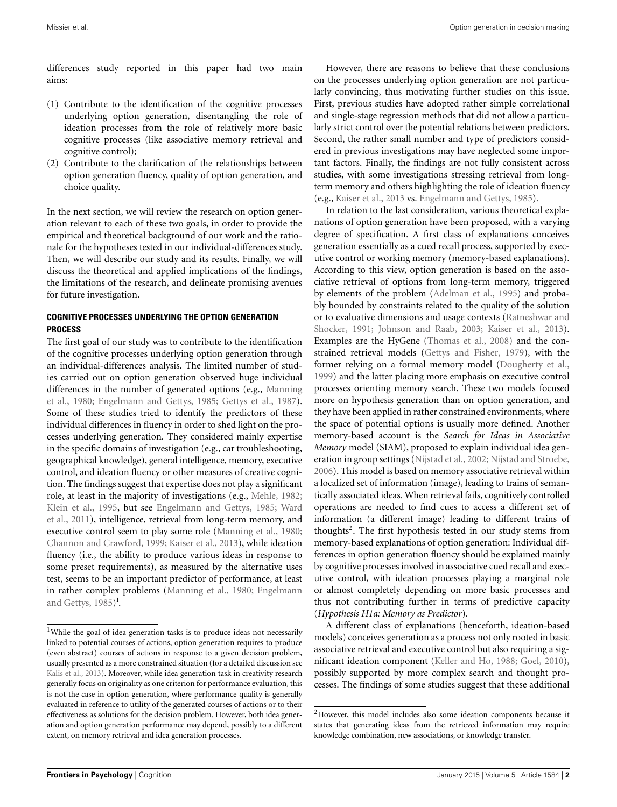differences study reported in this paper had two main aims:

- (1) Contribute to the identification of the cognitive processes underlying option generation, disentangling the role of ideation processes from the role of relatively more basic cognitive processes (like associative memory retrieval and cognitive control);
- (2) Contribute to the clarification of the relationships between option generation fluency, quality of option generation, and choice quality.

In the next section, we will review the research on option generation relevant to each of these two goals, in order to provide the empirical and theoretical background of our work and the rationale for the hypotheses tested in our individual-differences study. Then, we will describe our study and its results. Finally, we will discuss the theoretical and applied implications of the findings, the limitations of the research, and delineate promising avenues for future investigation.

## **COGNITIVE PROCESSES UNDERLYING THE OPTION GENERATION PROCESS**

The first goal of our study was to contribute to the identification of the cognitive processes underlying option generation through an individual-differences analysis. The limited number of studies carried out on option generation observed huge individual diffe[rences in the number of generated options \(e.g.,](#page-14-8) Manning et al., [1980;](#page-14-8) [Engelmann and Gettys](#page-13-3), [1985](#page-13-3); [Gettys et al., 1987](#page-14-2)). Some of these studies tried to identify the predictors of these individual differences in fluency in order to shed light on the processes underlying generation. They considered mainly expertise in the specific domains of investigation (e.g., car troubleshooting, geographical knowledge), general intelligence, memory, executive control, and ideation fluency or other measures of creative cognition. The findings suggest that expertise does not play a significant role, at least in the majority of investigations (e.g., [Mehle](#page-14-9), [1982;](#page-14-9) [Klein et al., 1995](#page-14-10), but see [Engelmann and Gettys](#page-13-3)[,](#page-14-11) [1985](#page-13-3)[;](#page-14-11) Ward et al., [2011\)](#page-14-11), intelligence, retrieval from long-term memory, and executive control seem to play some role [\(Manning et al., 1980;](#page-14-8) [Channon and Crawford](#page-13-4), [1999;](#page-13-4) [Kaiser et al.](#page-14-12), [2013\)](#page-14-12), while ideation fluency (i.e., the ability to produce various ideas in response to some preset requirements), as measured by the alternative uses test, seems to be an important predictor of performance, at least in rather [complex problems](#page-13-3) [\(Manning et al., 1980;](#page-14-8) Engelmann and Gettys, [1985\)](#page-13-3)<sup>[1](#page-1-0)</sup>.

However, there are reasons to believe that these conclusions on the processes underlying option generation are not particularly convincing, thus motivating further studies on this issue. First, previous studies have adopted rather simple correlational and single-stage regression methods that did not allow a particularly strict control over the potential relations between predictors. Second, the rather small number and type of predictors considered in previous investigations may have neglected some important factors. Finally, the findings are not fully consistent across studies, with some investigations stressing retrieval from longterm memory and others highlighting the role of ideation fluency (e.g., [Kaiser et al., 2013](#page-14-12) vs. [Engelmann and Gettys](#page-13-3), [1985\)](#page-13-3).

In relation to the last consideration, various theoretical explanations of option generation have been proposed, with a varying degree of specification. A first class of explanations conceives generation essentially as a cued recall process, supported by executive control or working memory (memory-based explanations). According to this view, option generation is based on the associative retrieval of options from long-term memory, triggered by elements of the problem [\(Adelman et al.](#page-13-5), [1995](#page-13-5)) and probably bounded by constraints related to the quality of the solution or to ev[aluative dimensions and usage contexts \(](#page-14-13)Ratneshwar and Shocker, [1991](#page-14-13); [Johnson and Raab](#page-14-14), [2003](#page-14-14); [Kaiser et al., 2013\)](#page-14-12). Examples are the HyGene [\(Thomas et al., 2008](#page-14-15)) and the constrained retrieval models [\(Gettys and Fisher, 1979\)](#page-13-6), with the former relying on a formal memory model [\(Dougherty et al.](#page-13-7), [1999](#page-13-7)) and the latter placing more emphasis on executive control processes orienting memory search. These two models focused more on hypothesis generation than on option generation, and they have been applied in rather constrained environments, where the space of potential options is usually more defined. Another memory-based account is the *Search for Ideas in Associative Memory* model (SIAM), proposed to explain individual idea generation in group settings [\(Nijstad et al.](#page-14-16), [2002](#page-14-16); [Nijstad and Stroebe](#page-14-17), [2006](#page-14-17)). This model is based on memory associative retrieval within a localized set of information (image), leading to trains of semantically associated ideas. When retrieval fails, cognitively controlled operations are needed to find cues to access a different set of information (a different image) leading to different trains of thoughts<sup>2</sup>. The first hypothesis tested in our study stems from memory-based explanations of option generation: Individual differences in option generation fluency should be explained mainly by cognitive processes involved in associative cued recall and executive control, with ideation processes playing a marginal role or almost completely depending on more basic processes and thus not contributing further in terms of predictive capacity (*Hypothesis H1a: Memory as Predictor*).

<span id="page-1-0"></span>A different class of explanations (henceforth, ideation-based models) conceives generation as a process not only rooted in basic associative retrieval and executive control but also requiring a significant ideation component [\(Keller and Ho, 1988](#page-14-4); [Goel](#page-14-1), [2010\)](#page-14-1), possibly supported by more complex search and thought processes. The findings of some studies suggest that these additional

<sup>&</sup>lt;sup>1</sup>While the goal of idea generation tasks is to produce ideas not necessarily linked to potential courses of actions, option generation requires to produce (even abstract) courses of actions in response to a given decision problem, usually presented as a more constrained situation (for a detailed discussion see [Kalis et al.](#page-14-5), [2013\)](#page-14-5). Moreover, while idea generation task in creativity research generally focus on originality as one criterion for performance evaluation, this is not the case in option generation, where performance quality is generally evaluated in reference to utility of the generated courses of actions or to their effectiveness as solutions for the decision problem. However, both idea generation and option generation performance may depend, possibly to a different extent, on memory retrieval and idea generation processes.

<sup>&</sup>lt;sup>2</sup>However, this model includes also some ideation components because it states that generating ideas from the retrieved information may require knowledge combination, new associations, or knowledge transfer.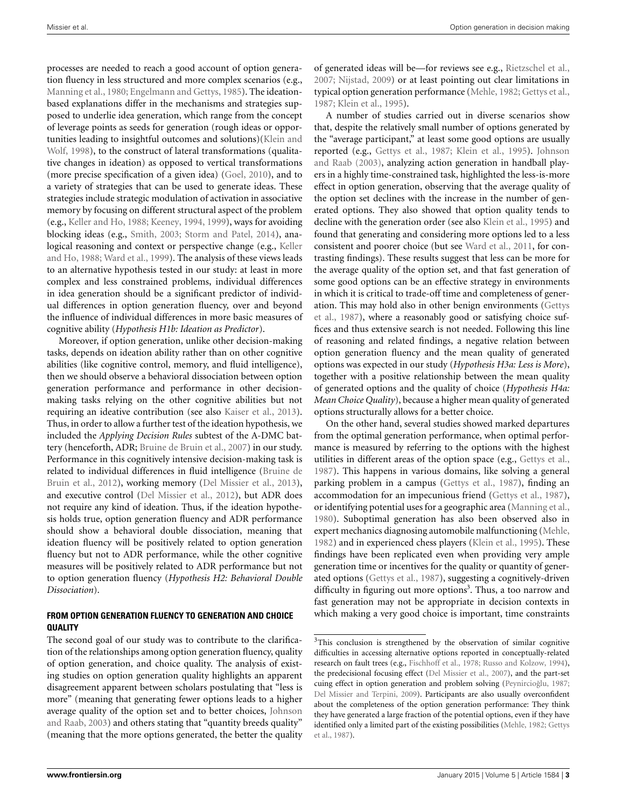processes are needed to reach a good account of option generation fluency in less structured and more complex scenarios (e.g., [Manning et al.](#page-14-8), [1980](#page-14-8); [Engelmann and Gettys, 1985](#page-13-3)). The ideationbased explanations differ in the mechanisms and strategies supposed to underlie idea generation, which range from the concept of leverage points as seeds for generation (rough ideas or opportuni[ties leading to insightful outcomes and solutions\)\(](#page-14-18)Klein and Wolf, [1998\)](#page-14-18), to the construct of lateral transformations (qualitative changes in ideation) as opposed to vertical transformations (more precise specification of a given idea) [\(Goel](#page-14-1), [2010](#page-14-1)), and to a variety of strategies that can be used to generate ideas. These strategies include strategic modulation of activation in associative memory by focusing on different structural aspect of the problem (e.g., [Keller and Ho, 1988](#page-14-4); [Keeney, 1994](#page-14-19), [1999](#page-14-6)), ways for avoiding blocking ideas (e.g., [Smith, 2003;](#page-14-20) [Storm and Patel, 2014\)](#page-14-21), analogical [reasoning and context or perspective change \(e.g.,](#page-14-4) Keller and Ho, [1988](#page-14-4); [Ward et al., 1999](#page-15-0)). The analysis of these views leads to an alternative hypothesis tested in our study: at least in more complex and less constrained problems, individual differences in idea generation should be a significant predictor of individual differences in option generation fluency, over and beyond the influence of individual differences in more basic measures of cognitive ability (*Hypothesis H1b: Ideation as Predictor*).

Moreover, if option generation, unlike other decision-making tasks, depends on ideation ability rather than on other cognitive abilities (like cognitive control, memory, and fluid intelligence), then we should observe a behavioral dissociation between option generation performance and performance in other decisionmaking tasks relying on the other cognitive abilities but not requiring an ideative contribution (see also [Kaiser et al.](#page-14-12), [2013](#page-14-12)). Thus, in order to allow a further test of the ideation hypothesis, we included the *Applying Decision Rules* subtest of the A-DMC battery (henceforth, ADR; [Bruine de Bruin et al., 2007](#page-13-8)) in our study. Performance in this cognitively intensive decision-making task is related to i[ndividual differences in fluid intelligence \(](#page-13-9)Bruine de Bruin et al., [2012](#page-13-9)), working memory [\(Del Missier et al.](#page-13-10), [2013](#page-13-10)), and executive control [\(Del Missier et al., 2012\)](#page-13-11), but ADR does not require any kind of ideation. Thus, if the ideation hypothesis holds true, option generation fluency and ADR performance should show a behavioral double dissociation, meaning that ideation fluency will be positively related to option generation fluency but not to ADR performance, while the other cognitive measures will be positively related to ADR performance but not to option generation fluency (*Hypothesis H2: Behavioral Double Dissociation*).

#### **FROM OPTION GENERATION FLUENCY TO GENERATION AND CHOICE QUALITY**

The second goal of our study was to contribute to the clarification of the relationships among option generation fluency, quality of option generation, and choice quality. The analysis of existing studies on option generation quality highlights an apparent disagreement apparent between scholars postulating that "less is more" (meaning that generating fewer options leads to a higher average [quality of the option set and to better choices,](#page-14-14) Johnson and Raab, [2003\)](#page-14-14) and others stating that "quantity breeds quality" (meaning that the more options generated, the better the quality of generated ideas will be—for reviews see e.g., [Rietzschel et al.,](#page-14-22) [2007](#page-14-22); [Nijstad](#page-14-23), [2009\)](#page-14-23) or at least pointing out clear limitations in typical option generation performance [\(Mehle, 1982](#page-14-9); [Gettys et al.,](#page-14-2) [1987](#page-14-2); [Klein et al.](#page-14-10), [1995](#page-14-10)).

A number of studies carried out in diverse scenarios show that, despite the relatively small number of options generated by the "average participant," at least some good options are usually reported (e.g., [Gettys et al.](#page-14-2)[,](#page-14-14) [1987](#page-14-2)[;](#page-14-14) [Klein et al.](#page-14-10)[,](#page-14-14) [1995](#page-14-10)[\).](#page-14-14) Johnson and Raab [\(2003\)](#page-14-14), analyzing action generation in handball players in a highly time-constrained task, highlighted the less-is-more effect in option generation, observing that the average quality of the option set declines with the increase in the number of generated options. They also showed that option quality tends to decline with the generation order (see also [Klein et al., 1995\)](#page-14-10) and found that generating and considering more options led to a less consistent and poorer choice (but see [Ward et al., 2011,](#page-14-11) for contrasting findings). These results suggest that less can be more for the average quality of the option set, and that fast generation of some good options can be an effective strategy in environments in which it is critical to trade-off time and completeness of generatio[n. This may hold also in other benign environments \(](#page-14-2)Gettys et al., [1987](#page-14-2)), where a reasonably good or satisfying choice suffices and thus extensive search is not needed. Following this line of reasoning and related findings, a negative relation between option generation fluency and the mean quality of generated options was expected in our study (*Hypothesis H3a: Less is More*), together with a positive relationship between the mean quality of generated options and the quality of choice (*Hypothesis H4a: Mean Choice Quality*), because a higher mean quality of generated options structurally allows for a better choice.

On the other hand, several studies showed marked departures from the optimal generation performance, when optimal performance is measured by referring to the options with the highest utilities in different areas of the option space (e.g., [Gettys et al.,](#page-14-2) [1987](#page-14-2)). This happens in various domains, like solving a general parking problem in a campus [\(Gettys et al., 1987\)](#page-14-2), finding an accommodation for an impecunious friend [\(Gettys et al., 1987](#page-14-2)), or identifying potential uses for a geographic area [\(Manning et al.,](#page-14-8) [1980](#page-14-8)). Suboptimal generation has also been observed also in expert mechanics diagnosing automobile malfunctioning [\(Mehle,](#page-14-9) [1982](#page-14-9)) and in experienced chess players [\(Klein et al., 1995\)](#page-14-10). These findings have been replicated even when providing very ample generation time or incentives for the quality or quantity of generated options [\(Gettys et al.](#page-14-2), [1987](#page-14-2)), suggesting a cognitively-driven difficulty in figuring out more options<sup>3</sup>. Thus, a too narrow and fast generation may not be appropriate in decision contexts in which making a very good choice is important, time constraints

<span id="page-2-0"></span><sup>&</sup>lt;sup>3</sup>This conclusion is strengthened by the observation of similar cognitive difficulties in accessing alternative options reported in conceptually-related research on fault trees (e.g., [Fischhoff et al.](#page-13-12), [1978;](#page-13-12) [Russo and Kolzow](#page-14-24), [1994\)](#page-14-24), the predecisional focusing effect [\(Del Missier et al., 2007\)](#page-13-13), and the part-set cuing effect in option generation and problem solving (Peynircioğlu, 1987; [Del Missier and Terpini](#page-13-14), [2009](#page-13-14)). Participants are also usually overconfident about the completeness of the option generation performance: They think they have generated a large fraction of the potential options, even if they have iden[tified only a limited part of the existing possibilities](#page-14-2) [\(Mehle](#page-14-9)[,](#page-14-2) [1982;](#page-14-9) Gettys et al., [1987](#page-14-2)).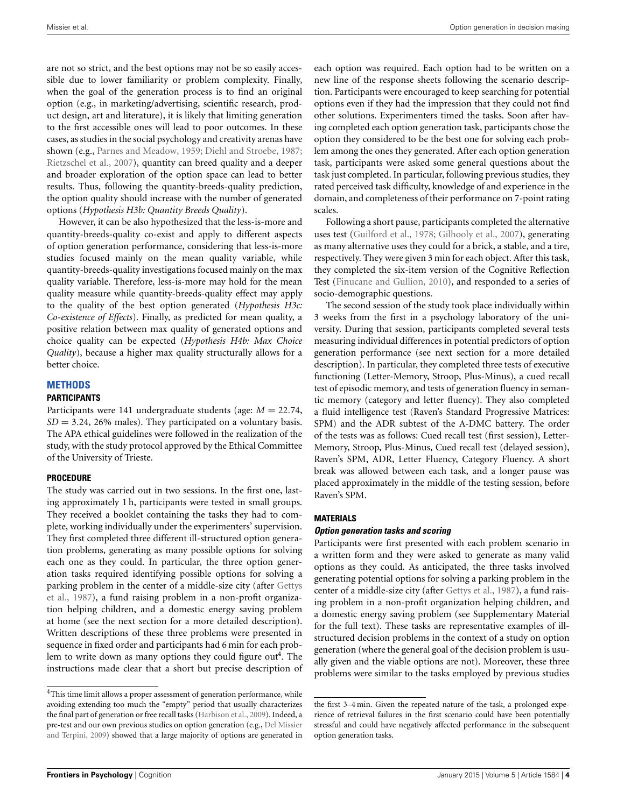are not so strict, and the best options may not be so easily accessible due to lower familiarity or problem complexity. Finally, when the goal of the generation process is to find an original option (e.g., in marketing/advertising, scientific research, product design, art and literature), it is likely that limiting generation to the first accessible ones will lead to poor outcomes. In these cases, as studies in the social psychology and creativity arenas have shown (e.g., [Parnes and Meadow](#page-14-26), [1959](#page-14-26); [Diehl and Stroebe, 1987;](#page-13-15) [Rietzschel et al., 2007](#page-14-22)), quantity can breed quality and a deeper and broader exploration of the option space can lead to better results. Thus, following the quantity-breeds-quality prediction, the option quality should increase with the number of generated options (*Hypothesis H3b: Quantity Breeds Quality*).

However, it can be also hypothesized that the less-is-more and quantity-breeds-quality co-exist and apply to different aspects of option generation performance, considering that less-is-more studies focused mainly on the mean quality variable, while quantity-breeds-quality investigations focused mainly on the max quality variable. Therefore, less-is-more may hold for the mean quality measure while quantity-breeds-quality effect may apply to the quality of the best option generated (*Hypothesis H3c: Co-existence of Effects*). Finally, as predicted for mean quality, a positive relation between max quality of generated options and choice quality can be expected (*Hypothesis H4b: Max Choice Quality*), because a higher max quality structurally allows for a better choice.

## **METHODS**

#### **PARTICIPANTS**

Participants were 141 undergraduate students (age: *M* = 22.74,  $SD = 3.24$ , 26% males). They participated on a voluntary basis. The APA ethical guidelines were followed in the realization of the study, with the study protocol approved by the Ethical Committee of the University of Trieste.

#### **PROCEDURE**

The study was carried out in two sessions. In the first one, lasting approximately 1 h, participants were tested in small groups. They received a booklet containing the tasks they had to complete, working individually under the experimenters' supervision. They first completed three different ill-structured option generation problems, generating as many possible options for solving each one as they could. In particular, the three option generation tasks required identifying possible options for solving a park[ing problem in the center of a middle-size city \(after](#page-14-2) Gettys et al., [1987\)](#page-14-2), a fund raising problem in a non-profit organization helping children, and a domestic energy saving problem at home (see the next section for a more detailed description). Written descriptions of these three problems were presented in sequence in fixed order and participants had 6 min for each problem to write down as many options they could figure out<sup>4</sup>. The instructions made clear that a short but precise description of each option was required. Each option had to be written on a new line of the response sheets following the scenario description. Participants were encouraged to keep searching for potential options even if they had the impression that they could not find other solutions. Experimenters timed the tasks. Soon after having completed each option generation task, participants chose the option they considered to be the best one for solving each problem among the ones they generated. After each option generation task, participants were asked some general questions about the task just completed. In particular, following previous studies, they rated perceived task difficulty, knowledge of and experience in the domain, and completeness of their performance on 7-point rating scales.

Following a short pause, participants completed the alternative uses test [\(Guilford et al.](#page-14-28), [1978](#page-14-28); [Gilhooly et al., 2007](#page-14-29)), generating as many alternative uses they could for a brick, a stable, and a tire, respectively. They were given 3 min for each object. After this task, they completed the six-item version of the Cognitive Reflection Test [\(Finucane and Gullion, 2010](#page-13-16)), and responded to a series of socio-demographic questions.

The second session of the study took place individually within 3 weeks from the first in a psychology laboratory of the university. During that session, participants completed several tests measuring individual differences in potential predictors of option generation performance (see next section for a more detailed description). In particular, they completed three tests of executive functioning (Letter-Memory, Stroop, Plus-Minus), a cued recall test of episodic memory, and tests of generation fluency in semantic memory (category and letter fluency). They also completed a fluid intelligence test (Raven's Standard Progressive Matrices: SPM) and the ADR subtest of the A-DMC battery. The order of the tests was as follows: Cued recall test (first session), Letter-Memory, Stroop, Plus-Minus, Cued recall test (delayed session), Raven's SPM, ADR, Letter Fluency, Category Fluency. A short break was allowed between each task, and a longer pause was placed approximately in the middle of the testing session, before Raven's SPM.

#### **MATERIALS**

#### *Option generation tasks and scoring*

Participants were first presented with each problem scenario in a written form and they were asked to generate as many valid options as they could. As anticipated, the three tasks involved generating potential options for solving a parking problem in the center of a middle-size city (after [Gettys et al., 1987\)](#page-14-2), a fund raising problem in a non-profit organization helping children, and a domestic energy saving problem (see Supplementary Material for the full text). These tasks are representative examples of illstructured decision problems in the context of a study on option generation (where the general goal of the decision problem is usually given and the viable options are not). Moreover, these three problems were similar to the tasks employed by previous studies

 $^4\mathrm{This}$  time limit allows a proper assessment of generation performance, while avoiding extending too much the "empty" period that usually characterizes the final part of generation or free recall tasks [\(Harbison et al., 2009](#page-14-27)). Indeed, a pre-test an[d our own previous studies on option generation \(e.g.,](#page-13-14) Del Missier and Terpini, [2009\)](#page-13-14) showed that a large majority of options are generated in

<span id="page-3-0"></span>the first 3–4 min. Given the repeated nature of the task, a prolonged experience of retrieval failures in the first scenario could have been potentially stressful and could have negatively affected performance in the subsequent option generation tasks.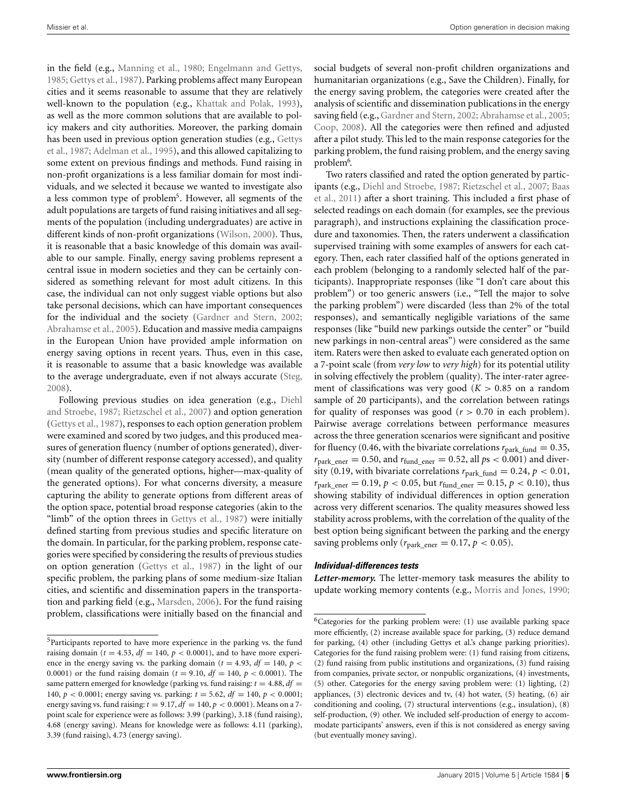in the field (e.g., [Manning et al.](#page-14-8), [1980](#page-14-8); [Engelmann and Gettys,](#page-13-3) [1985](#page-13-3); [Gettys et al.](#page-14-2), [1987](#page-14-2)). Parking problems affect many European cities and it seems reasonable to assume that they are relatively well-known to the population (e.g., [Khattak and Polak, 1993](#page-14-30)), as well as the more common solutions that are available to policy makers and city authorities. Moreover, the parking domain has [been used in previous option generation studies \(e.g.,](#page-14-2) Gettys et al., [1987;](#page-14-2) [Adelman et al.](#page-13-5), [1995\)](#page-13-5), and this allowed capitalizing to some extent on previous findings and methods. Fund raising in non-profit organizations is a less familiar domain for most individuals, and we selected it because we wanted to investigate also a less common type of problem<sup>5</sup>. However, all segments of the adult populations are targets of fund raising initiatives and all segments of the population (including undergraduates) are active in different kinds of non-profit organizations [\(Wilson, 2000](#page-15-1)). Thus, it is reasonable that a basic knowledge of this domain was available to our sample. Finally, energy saving problems represent a central issue in modern societies and they can be certainly considered as something relevant for most adult citizens. In this case, the individual can not only suggest viable options but also take personal decisions, which can have important consequences for the individual and the society [\(Gardner and Stern, 2002;](#page-13-17) [Abrahamse et al., 2005\)](#page-13-18). Education and massive media campaigns in the European Union have provided ample information on energy saving options in recent years. Thus, even in this case, it is reasonable to assume that a basic knowledge was available to the average undergraduate, even if not always accurate [\(Steg,](#page-14-31) [2008](#page-14-31)).

Followin[g previous studies on idea generation \(e.g.,](#page-13-15) Diehl and Stroebe, [1987;](#page-13-15) [Rietzschel et al.](#page-14-22), [2007](#page-14-22)) and option generation [\(Gettys et al., 1987\)](#page-14-2), responses to each option generation problem were examined and scored by two judges, and this produced measures of generation fluency (number of options generated), diversity (number of different response category accessed), and quality (mean quality of the generated options, higher—max-quality of the generated options). For what concerns diversity, a measure capturing the ability to generate options from different areas of the option space, potential broad response categories (akin to the "limb" of the option threes in [Gettys et al., 1987](#page-14-2)) were initially defined starting from previous studies and specific literature on the domain. In particular, for the parking problem, response categories were specified by considering the results of previous studies on option generation [\(Gettys et al.](#page-14-2), [1987\)](#page-14-2) in the light of our specific problem, the parking plans of some medium-size Italian cities, and scientific and dissemination papers in the transportation and parking field (e.g., [Marsden](#page-14-32), [2006\)](#page-14-32). For the fund raising problem, classifications were initially based on the financial and

social budgets of several non-profit children organizations and humanitarian organizations (e.g., Save the Children). Finally, for the energy saving problem, the categories were created after the analysis of scientific and dissemination publications in the energy saving field (e.g., [Gardner and Stern](#page-13-17), [2002](#page-13-17); [Abrahamse et al.](#page-13-18), [2005;](#page-13-18) [Coop](#page-13-19), [2008](#page-13-19)). All the categories were then refined and adjusted after a pilot study. This led to the main response categories for the parking problem, the fund raising problem, and the energy saving problem<sup>6</sup>.

<span id="page-4-0"></span>Two raters classified and rated the option generated by participants (e.g., [Diehl and Stroebe, 1987;](#page-13-15) [Rietzschel et al.](#page-14-22)[,](#page-13-20) [2007](#page-14-22)[;](#page-13-20) Baas et al., [2011](#page-13-20)) after a short training. This included a first phase of selected readings on each domain (for examples, see the previous paragraph), and instructions explaining the classification procedure and taxonomies. Then, the raters underwent a classification supervised training with some examples of answers for each category. Then, each rater classified half of the options generated in each problem (belonging to a randomly selected half of the participants). Inappropriate responses (like "I don't care about this problem") or too generic answers (i.e., "Tell the major to solve the parking problem") were discarded (less than 2% of the total responses), and semantically negligible variations of the same responses (like "build new parkings outside the center" or "build new parkings in non-central areas") were considered as the same item. Raters were then asked to evaluate each generated option on a 7-point scale (from *very low* to *very high*) for its potential utility in solving effectively the problem (quality). The inter-rater agreement of classifications was very good  $(K > 0.85$  on a random sample of 20 participants), and the correlation between ratings for quality of responses was good  $(r > 0.70)$  in each problem). Pairwise average correlations between performance measures across the three generation scenarios were significant and positive for fluency (0.46, with the bivariate correlations  $r_{\text{park\_fund}} = 0.35$ ,  $r_{\text{park ener}} = 0.50$ , and  $r_{\text{fund-ener}} = 0.52$ , all  $ps < 0.001$ ) and diversity (0.19, with bivariate correlations  $r_{\text{park\_fund}} = 0.24$ ,  $p < 0.01$ ,  $r_{\text{park\_ener}} = 0.19, p < 0.05, \text{ but } r_{\text{fund\_ener}} = 0.15, p < 0.10$ ), thus showing stability of individual differences in option generation across very different scenarios. The quality measures showed less stability across problems, with the correlation of the quality of the best option being significant between the parking and the energy saving problems only ( $r_{\text{park\_ener}} = 0.17$ ,  $p < 0.05$ ).

#### *Individual-differences tests*

*Letter-memory.* The letter-memory task measures the ability to update working memory contents (e.g., [Morris and Jones](#page-14-33), [1990;](#page-14-33)

<sup>&</sup>lt;sup>5</sup>Participants reported to have more experience in the parking vs. the fund raising domain ( $t = 4.53$ ,  $df = 140$ ,  $p < 0.0001$ ), and to have more experience in the energy saving vs. the parking domain ( $t = 4.93$ ,  $df = 140$ ,  $p <$ 0.0001) or the fund raising domain ( $t = 9.10$ ,  $df = 140$ ,  $p < 0.0001$ ). The same pattern emerged for knowledge (parking vs. fund raising:  $t = 4.88$ ,  $df =$ 140,  $p < 0.0001$ ; energy saving vs. parking:  $t = 5.62$ ,  $df = 140$ ,  $p < 0.0001$ ; energy saving vs. fund raising:  $t = 9.17$ ,  $df = 140$ ,  $p < 0.0001$ ). Means on a 7point scale for experience were as follows: 3.99 (parking), 3.18 (fund raising), 4.68 (energy saving). Means for knowledge were as follows: 4.11 (parking), 3.39 (fund raising), 4.73 (energy saving).

 $6$ Categories for the parking problem were: (1) use available parking space more efficiently, (2) increase available space for parking, (3) reduce demand for parking, (4) other (including Gettys et al.'s change parking priorities). Categories for the fund raising problem were: (1) fund raising from citizens, (2) fund raising from public institutions and organizations, (3) fund raising from companies, private sector, or nonpublic organizations, (4) investments, (5) other. Categories for the energy saving problem were: (1) lighting, (2) appliances, (3) electronic devices and tv, (4) hot water, (5) heating, (6) air conditioning and cooling, (7) structural interventions (e.g., insulation), (8) self-production, (9) other. We included self-production of energy to accommodate participants' answers, even if this is not considered as energy saving (but eventually money saving).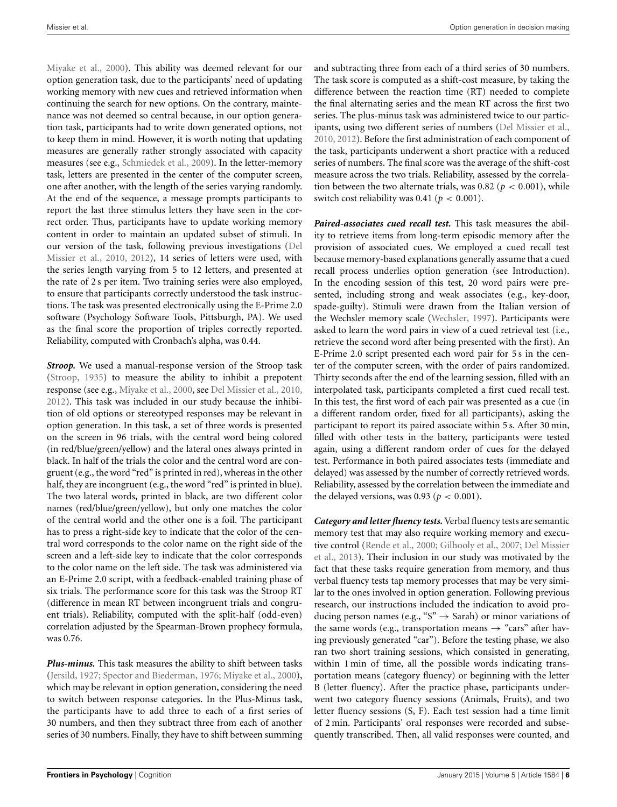[Miyake et al.](#page-14-34), [2000](#page-14-34)). This ability was deemed relevant for our option generation task, due to the participants' need of updating working memory with new cues and retrieved information when continuing the search for new options. On the contrary, maintenance was not deemed so central because, in our option generation task, participants had to write down generated options, not to keep them in mind. However, it is worth noting that updating measures are generally rather strongly associated with capacity measures (see e.g., [Schmiedek et al.](#page-14-35), [2009\)](#page-14-35). In the letter-memory task, letters are presented in the center of the computer screen, one after another, with the length of the series varying randomly. At the end of the sequence, a message prompts participants to report the last three stimulus letters they have seen in the correct order. Thus, participants have to update working memory content in order to maintain an updated subset of stimuli. In our version [of the task, following previous investigations \(](#page-13-21)Del Missier et al., [2010](#page-13-21), [2012\)](#page-13-11), 14 series of letters were used, with the series length varying from 5 to 12 letters, and presented at the rate of 2 s per item. Two training series were also employed, to ensure that participants correctly understood the task instructions. The task was presented electronically using the E-Prime 2.0 software (Psychology Software Tools, Pittsburgh, PA). We used as the final score the proportion of triples correctly reported. Reliability, computed with Cronbach's alpha, was 0.44.

*Stroop.* We used a manual-response version of the Stroop task [\(Stroop](#page-14-36), [1935\)](#page-14-36) to measure the ability to inhibit a prepotent response (see e.g., [Miyake et al., 2000,](#page-14-34) see [Del Missier et al., 2010,](#page-13-21) [2012](#page-13-11)). This task was included in our study because the inhibition of old options or stereotyped responses may be relevant in option generation. In this task, a set of three words is presented on the screen in 96 trials, with the central word being colored (in red/blue/green/yellow) and the lateral ones always printed in black. In half of the trials the color and the central word are congruent (e.g., the word "red" is printed in red), whereas in the other half, they are incongruent (e.g., the word "red" is printed in blue). The two lateral words, printed in black, are two different color names (red/blue/green/yellow), but only one matches the color of the central world and the other one is a foil. The participant has to press a right-side key to indicate that the color of the central word corresponds to the color name on the right side of the screen and a left-side key to indicate that the color corresponds to the color name on the left side. The task was administered via an E-Prime 2.0 script, with a feedback-enabled training phase of six trials. The performance score for this task was the Stroop RT (difference in mean RT between incongruent trials and congruent trials). Reliability, computed with the split-half (odd-even) correlation adjusted by the Spearman-Brown prophecy formula, was 0.76.

*Plus-minus.* This task measures the ability to shift between tasks [\(Jersild](#page-14-37), [1927](#page-14-37); [Spector and Biederman, 1976](#page-14-38); [Miyake et al.](#page-14-34), [2000](#page-14-34)), which may be relevant in option generation, considering the need to switch between response categories. In the Plus-Minus task, the participants have to add three to each of a first series of 30 numbers, and then they subtract three from each of another series of 30 numbers. Finally, they have to shift between summing and subtracting three from each of a third series of 30 numbers. The task score is computed as a shift-cost measure, by taking the difference between the reaction time (RT) needed to complete the final alternating series and the mean RT across the first two series. The plus-minus task was administered twice to our participants, using two different series of numbers [\(Del Missier et al.](#page-13-21), [2010](#page-13-21), [2012\)](#page-13-11). Before the first administration of each component of the task, participants underwent a short practice with a reduced series of numbers. The final score was the average of the shift-cost measure across the two trials. Reliability, assessed by the correlation between the two alternate trials, was 0.82 ( $p < 0.001$ ), while switch cost reliability was 0.41 ( $p < 0.001$ ).

*Paired-associates cued recall test.* This task measures the ability to retrieve items from long-term episodic memory after the provision of associated cues. We employed a cued recall test because memory-based explanations generally assume that a cued recall process underlies option generation (see Introduction). In the encoding session of this test, 20 word pairs were presented, including strong and weak associates (e.g., key-door, spade-guilty). Stimuli were drawn from the Italian version of the Wechsler memory scale [\(Wechsler](#page-15-2), [1997](#page-15-2)). Participants were asked to learn the word pairs in view of a cued retrieval test (i.e., retrieve the second word after being presented with the first). An E-Prime 2.0 script presented each word pair for 5 s in the center of the computer screen, with the order of pairs randomized. Thirty seconds after the end of the learning session, filled with an interpolated task, participants completed a first cued recall test. In this test, the first word of each pair was presented as a cue (in a different random order, fixed for all participants), asking the participant to report its paired associate within 5 s. After 30 min, filled with other tests in the battery, participants were tested again, using a different random order of cues for the delayed test. Performance in both paired associates tests (immediate and delayed) was assessed by the number of correctly retrieved words. Reliability, assessed by the correlation between the immediate and the delayed versions, was 0.93 ( $p < 0.001$ ).

*Category and letter fluency tests.* Verbal fluency tests are semantic memory test that may also require working memory and executive [control](#page-13-10) [\(Rende et al.](#page-14-39)[,](#page-13-10) [2000](#page-14-39)[;](#page-13-10) [Gilhooly et al., 2007;](#page-14-29) Del Missier et al., [2013](#page-13-10)). Their inclusion in our study was motivated by the fact that these tasks require generation from memory, and thus verbal fluency tests tap memory processes that may be very similar to the ones involved in option generation. Following previous research, our instructions included the indication to avoid producing person names (e.g., " $S$ "  $\rightarrow$  Sarah) or minor variations of the same words (e.g., transportation means  $\rightarrow$  "cars" after having previously generated "car"). Before the testing phase, we also ran two short training sessions, which consisted in generating, within 1 min of time, all the possible words indicating transportation means (category fluency) or beginning with the letter B (letter fluency). After the practice phase, participants underwent two category fluency sessions (Animals, Fruits), and two letter fluency sessions (S, F). Each test session had a time limit of 2 min. Participants' oral responses were recorded and subsequently transcribed. Then, all valid responses were counted, and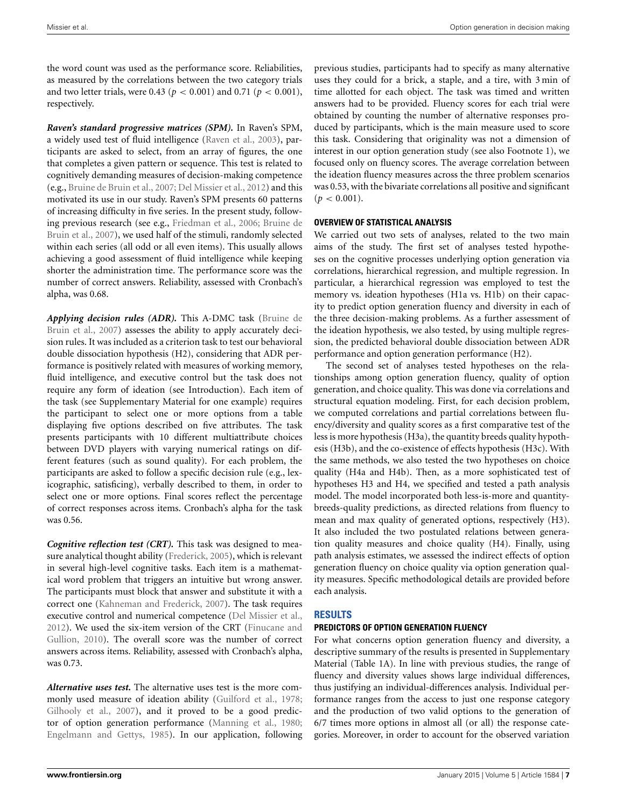the word count was used as the performance score. Reliabilities, as measured by the correlations between the two category trials and two letter trials, were 0.43 ( $p < 0.001$ ) and 0.71 ( $p < 0.001$ ), respectively.

*Raven's standard progressive matrices (SPM).* In Raven's SPM, a widely used test of fluid intelligence [\(Raven et al., 2003](#page-14-40)), participants are asked to select, from an array of figures, the one that completes a given pattern or sequence. This test is related to cognitively demanding measures of decision-making competence (e.g., [Bruine de Bruin et al., 2007;](#page-13-8) [Del Missier et al.](#page-13-11), [2012](#page-13-11)) and this motivated its use in our study. Raven's SPM presents 60 patterns of increasing difficulty in five series. In the present study, following previous research (see e.g., [Friedman et al.](#page-13-22)[,](#page-13-8) [2006](#page-13-22)[;](#page-13-8) Bruine de Bruin et al., [2007](#page-13-8)), we used half of the stimuli, randomly selected within each series (all odd or all even items). This usually allows achieving a good assessment of fluid intelligence while keeping shorter the administration time. The performance score was the number of correct answers. Reliability, assessed with Cronbach's alpha, was 0.68.

*Applying d[ecision rules \(ADR\).](#page-13-8)* This A-DMC task (Bruine de Bruin et al., [2007\)](#page-13-8) assesses the ability to apply accurately decision rules. It was included as a criterion task to test our behavioral double dissociation hypothesis (H2), considering that ADR performance is positively related with measures of working memory, fluid intelligence, and executive control but the task does not require any form of ideation (see Introduction). Each item of the task (see Supplementary Material for one example) requires the participant to select one or more options from a table displaying five options described on five attributes. The task presents participants with 10 different multiattribute choices between DVD players with varying numerical ratings on different features (such as sound quality). For each problem, the participants are asked to follow a specific decision rule (e.g., lexicographic, satisficing), verbally described to them, in order to select one or more options. Final scores reflect the percentage of correct responses across items. Cronbach's alpha for the task was 0.56.

*Cognitive reflection test (CRT).* This task was designed to measure analytical thought ability [\(Frederick](#page-13-23), [2005\)](#page-13-23), which is relevant in several high-level cognitive tasks. Each item is a mathematical word problem that triggers an intuitive but wrong answer. The participants must block that answer and substitute it with a correct one [\(Kahneman and Frederick](#page-14-41), [2007\)](#page-14-41). The task requires executive control and numerical competence [\(Del Missier et al.,](#page-13-11) [2012](#page-13-11)). [We](#page-13-16) [used](#page-13-16) [the](#page-13-16) [six-item](#page-13-16) [version](#page-13-16) [of](#page-13-16) [the](#page-13-16) [CRT](#page-13-16) [\(](#page-13-16)Finucane and Gullion, [2010](#page-13-16)). The overall score was the number of correct answers across items. Reliability, assessed with Cronbach's alpha, was 0.73.

*Alternative uses test.* The alternative uses test is the more com-monly used measure of ideation ability [\(Guilford et al.](#page-14-28), [1978;](#page-14-28) [Gilhooly et al., 2007](#page-14-29)), and it proved to be a good predictor of option generation performance [\(Manning et al., 1980;](#page-14-8) [Engelmann and Gettys](#page-13-3), [1985](#page-13-3)). In our application, following

previous studies, participants had to specify as many alternative uses they could for a brick, a staple, and a tire, with 3 min of time allotted for each object. The task was timed and written answers had to be provided. Fluency scores for each trial were obtained by counting the number of alternative responses produced by participants, which is the main measure used to score this task. Considering that originality was not a dimension of interest in our option generation study (see also Footnote 1), we focused only on fluency scores. The average correlation between the ideation fluency measures across the three problem scenarios was 0.53, with the bivariate correlations all positive and significant  $(p < 0.001)$ .

## **OVERVIEW OF STATISTICAL ANALYSIS**

We carried out two sets of analyses, related to the two main aims of the study. The first set of analyses tested hypotheses on the cognitive processes underlying option generation via correlations, hierarchical regression, and multiple regression. In particular, a hierarchical regression was employed to test the memory vs. ideation hypotheses (H1a vs. H1b) on their capacity to predict option generation fluency and diversity in each of the three decision-making problems. As a further assessment of the ideation hypothesis, we also tested, by using multiple regression, the predicted behavioral double dissociation between ADR performance and option generation performance (H2).

The second set of analyses tested hypotheses on the relationships among option generation fluency, quality of option generation, and choice quality. This was done via correlations and structural equation modeling. First, for each decision problem, we computed correlations and partial correlations between fluency/diversity and quality scores as a first comparative test of the less is more hypothesis (H3a), the quantity breeds quality hypothesis (H3b), and the co-existence of effects hypothesis (H3c). With the same methods, we also tested the two hypotheses on choice quality (H4a and H4b). Then, as a more sophisticated test of hypotheses H3 and H4, we specified and tested a path analysis model. The model incorporated both less-is-more and quantitybreeds-quality predictions, as directed relations from fluency to mean and max quality of generated options, respectively (H3). It also included the two postulated relations between generation quality measures and choice quality (H4). Finally, using path analysis estimates, we assessed the indirect effects of option generation fluency on choice quality via option generation quality measures. Specific methodological details are provided before each analysis.

# **RESULTS**

# **PREDICTORS OF OPTION GENERATION FLUENCY**

For what concerns option generation fluency and diversity, a descriptive summary of the results is presented in Supplementary Material (Table 1A). In line with previous studies, the range of fluency and diversity values shows large individual differences, thus justifying an individual-differences analysis. Individual performance ranges from the access to just one response category and the production of two valid options to the generation of 6/7 times more options in almost all (or all) the response categories. Moreover, in order to account for the observed variation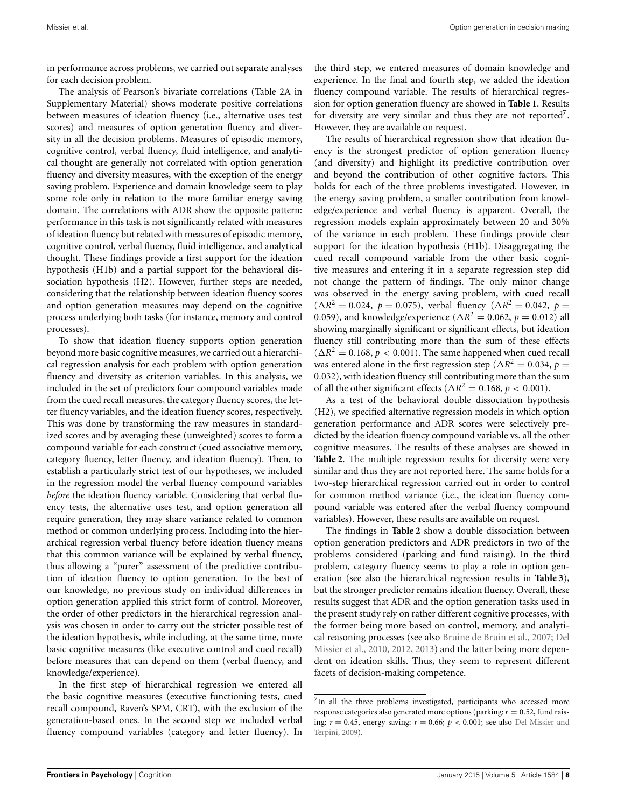in performance across problems, we carried out separate analyses for each decision problem.

The analysis of Pearson's bivariate correlations (Table 2A in Supplementary Material) shows moderate positive correlations between measures of ideation fluency (i.e., alternative uses test scores) and measures of option generation fluency and diversity in all the decision problems. Measures of episodic memory, cognitive control, verbal fluency, fluid intelligence, and analytical thought are generally not correlated with option generation fluency and diversity measures, with the exception of the energy saving problem. Experience and domain knowledge seem to play some role only in relation to the more familiar energy saving domain. The correlations with ADR show the opposite pattern: performance in this task is not significantly related with measures of ideation fluency but related with measures of episodic memory, cognitive control, verbal fluency, fluid intelligence, and analytical thought. These findings provide a first support for the ideation hypothesis (H1b) and a partial support for the behavioral dissociation hypothesis (H2). However, further steps are needed, considering that the relationship between ideation fluency scores and option generation measures may depend on the cognitive process underlying both tasks (for instance, memory and control processes).

To show that ideation fluency supports option generation beyond more basic cognitive measures, we carried out a hierarchical regression analysis for each problem with option generation fluency and diversity as criterion variables. In this analysis, we included in the set of predictors four compound variables made from the cued recall measures, the category fluency scores, the letter fluency variables, and the ideation fluency scores, respectively. This was done by transforming the raw measures in standardized scores and by averaging these (unweighted) scores to form a compound variable for each construct (cued associative memory, category fluency, letter fluency, and ideation fluency). Then, to establish a particularly strict test of our hypotheses, we included in the regression model the verbal fluency compound variables *before* the ideation fluency variable. Considering that verbal fluency tests, the alternative uses test, and option generation all require generation, they may share variance related to common method or common underlying process. Including into the hierarchical regression verbal fluency before ideation fluency means that this common variance will be explained by verbal fluency, thus allowing a "purer" assessment of the predictive contribution of ideation fluency to option generation. To the best of our knowledge, no previous study on individual differences in option generation applied this strict form of control. Moreover, the order of other predictors in the hierarchical regression analysis was chosen in order to carry out the stricter possible test of the ideation hypothesis, while including, at the same time, more basic cognitive measures (like executive control and cued recall) before measures that can depend on them (verbal fluency, and knowledge/experience).

In the first step of hierarchical regression we entered all the basic cognitive measures (executive functioning tests, cued recall compound, Raven's SPM, CRT), with the exclusion of the generation-based ones. In the second step we included verbal fluency compound variables (category and letter fluency). In

the third step, we entered measures of domain knowledge and experience. In the final and fourth step, we added the ideation fluency compound variable. The results of hierarchical regression for option generation fluency are showed in **[Table 1](#page-8-0)**. Results for diversity are very similar and thus they are not reported<sup>7</sup>. However, they are available on request.

<span id="page-7-0"></span>The results of hierarchical regression show that ideation fluency is the strongest predictor of option generation fluency (and diversity) and highlight its predictive contribution over and beyond the contribution of other cognitive factors. This holds for each of the three problems investigated. However, in the energy saving problem, a smaller contribution from knowledge/experience and verbal fluency is apparent. Overall, the regression models explain approximately between 20 and 30% of the variance in each problem. These findings provide clear support for the ideation hypothesis (H1b). Disaggregating the cued recall compound variable from the other basic cognitive measures and entering it in a separate regression step did not change the pattern of findings. The only minor change was observed in the energy saving problem, with cued recall  $(\Delta R^2 = 0.024, p = 0.075)$ , verbal fluency  $(\Delta R^2 = 0.042, p = 0.042)$ 0.059), and knowledge/experience ( $\Delta R^2 = 0.062$ ,  $p = 0.012$ ) all showing marginally significant or significant effects, but ideation fluency still contributing more than the sum of these effects  $(\Delta R^2 = 0.168, p < 0.001)$ . The same happened when cued recall was entered alone in the first regression step ( $\Delta R^2 = 0.034$ ,  $p =$ 0.032), with ideation fluency still contributing more than the sum of all the other significant effects ( $\Delta R^2 = 0.168$ ,  $p < 0.001$ ).

As a test of the behavioral double dissociation hypothesis (H2), we specified alternative regression models in which option generation performance and ADR scores were selectively predicted by the ideation fluency compound variable vs. all the other cognitive measures. The results of these analyses are showed in **[Table 2](#page-8-1)**. The multiple regression results for diversity were very similar and thus they are not reported here. The same holds for a two-step hierarchical regression carried out in order to control for common method variance (i.e., the ideation fluency compound variable was entered after the verbal fluency compound variables). However, these results are available on request.

The findings in **[Table 2](#page-8-1)** show a double dissociation between option generation predictors and ADR predictors in two of the problems considered (parking and fund raising). In the third problem, category fluency seems to play a role in option generation (see also the hierarchical regression results in **[Table 3](#page-8-2)**), but the stronger predictor remains ideation fluency. Overall, these results suggest that ADR and the option generation tasks used in the present study rely on rather different cognitive processes, with the former being more based on control, memory, and analytical reasoning processes (see also [Bruine de Bruin et al.](#page-13-8)[,](#page-13-21) [2007](#page-13-8)[;](#page-13-21) Del Missier et al., [2010,](#page-13-21) [2012](#page-13-11), [2013](#page-13-10)) and the latter being more dependent on ideation skills. Thus, they seem to represent different facets of decision-making competence.

 $7$ In all the three problems investigated, participants who accessed more response categories also generated more options (parking:  $r = 0.52$ , fund raising:  $r = 0.45$ , energy saving:  $r = 0.66$ ;  $p < 0.001$ ; see also Del Missier and Terpini, [2009](#page-13-14)).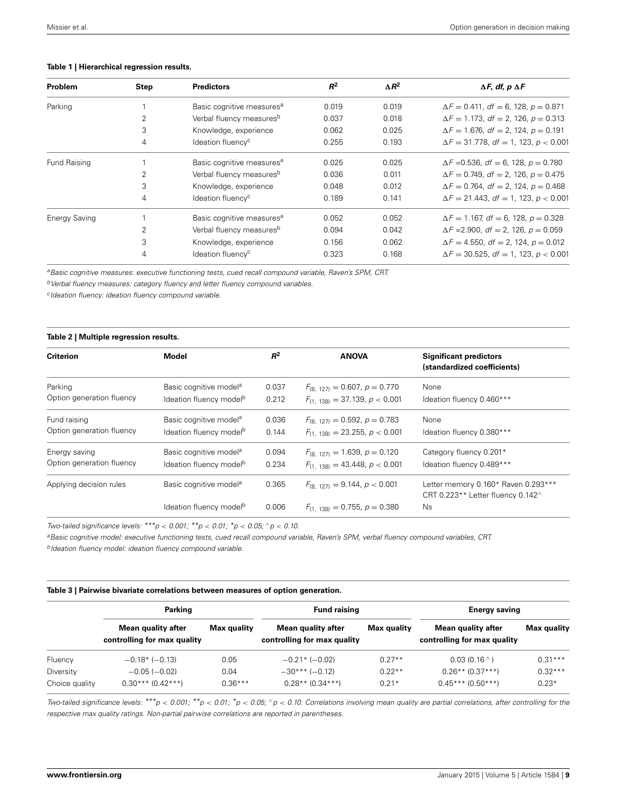<span id="page-8-0"></span>

|  | Table 1   Hierarchical regression results. |  |  |
|--|--------------------------------------------|--|--|
|--|--------------------------------------------|--|--|

| Problem              | Step | <b>Predictors</b>                     | $R^2$ | $\Delta R^2$ | $\Delta F$ , df, p $\Delta F$                |
|----------------------|------|---------------------------------------|-------|--------------|----------------------------------------------|
| Parking              |      | Basic cognitive measures <sup>a</sup> | 0.019 | 0.019        | $\Delta F = 0.411$ , df = 6, 128, p = 0.871  |
|                      | 2    | Verbal fluency measures <sup>b</sup>  | 0.037 | 0.018        | $\Delta F = 1.173$ , df = 2, 126, p = 0.313  |
|                      | 3    | Knowledge, experience                 | 0.062 | 0.025        | $\Delta F = 1.676$ , df = 2, 124, p = 0.191  |
|                      | 4    | Ideation fluency <sup>c</sup>         | 0.255 | 0.193        | $\Delta F = 31.778$ , df = 1, 123, p < 0.001 |
| Fund Raising         |      | Basic cognitive measures <sup>a</sup> | 0.025 | 0.025        | $\Delta F = 0.536$ , df = 6, 128, p = 0.780  |
|                      | 2    | Verbal fluency measures <sup>b</sup>  | 0.036 | 0.011        | $\Delta F = 0.749$ , df = 2, 126, p = 0.475  |
|                      | 3    | Knowledge, experience                 | 0.048 | 0.012        | $\Delta F = 0.764$ , df = 2, 124, p = 0.468  |
|                      | 4    | Ideation fluency <sup>c</sup>         | 0.189 | 0.141        | $\Delta F = 21.443$ , df = 1, 123, p < 0.001 |
| <b>Energy Saving</b> |      | Basic cognitive measures <sup>a</sup> | 0.052 | 0.052        | $\Delta F = 1.167$ , df = 6, 128, p = 0.328  |
|                      | 2    | Verbal fluency measures <sup>b</sup>  | 0.094 | 0.042        | $\Delta F = 2.900$ , df = 2, 126, p = 0.059  |
|                      | 3    | Knowledge, experience                 | 0.156 | 0.062        | $\Delta F = 4.550$ , df = 2, 124, p = 0.012  |
|                      | 4    | Ideation fluency <sup>c</sup>         | 0.323 | 0.168        | $\Delta F = 30.525$ , df = 1, 123, p < 0.001 |

*aBasic cognitive measures: executive functioning tests, cued recall compound variable, Raven's SPM, CRT.*

*b* Verbal fluency measures: category fluency and letter fluency compound variables.

*<sup>c</sup> Ideation fluency: ideation fluency compound variable.*

#### <span id="page-8-1"></span>**Table 2 | Multiple regression results.**

| <b>Criterion</b>          | <b>Model</b>                        | $R^2$ | <b>ANOVA</b>                          | <b>Significant predictors</b><br>(standardized coefficients)             |
|---------------------------|-------------------------------------|-------|---------------------------------------|--------------------------------------------------------------------------|
| Parking                   | Basic cognitive model <sup>a</sup>  | 0.037 | $F_{(8, 127)} = 0.607$ , $p = 0.770$  | None                                                                     |
| Option generation fluency | Ideation fluency model <sup>b</sup> | 0.212 | $F_{(1, 138)} = 37.139$ , $p < 0.001$ | Ideation fluency 0.460***                                                |
| Fund raising              | Basic cognitive model <sup>a</sup>  | 0.036 | $F_{(8, 127)} = 0.592$ , $p = 0.783$  | None                                                                     |
| Option generation fluency | Ideation fluency model <sup>b</sup> | 0.144 | $F_{(1,138)} = 23.255$ , $p < 0.001$  | Ideation fluency 0.380***                                                |
| Energy saving             | Basic cognitive model <sup>a</sup>  | 0.094 | $F_{(8, 127)} = 1.639, p = 0.120$     | Category fluency 0.201*                                                  |
| Option generation fluency | Ideation fluency model <sup>b</sup> | 0.234 | $F_{(1,138)} = 43.448, p < 0.001$     | Ideation fluency 0.489***                                                |
| Applying decision rules   | Basic cognitive model <sup>a</sup>  | 0.365 | $F_{(8, 127)} = 9.144$ , $p < 0.001$  | Letter memory 0.160* Raven 0.293***<br>CRT 0.223** Letter fluency 0.142^ |
|                           | Ideation fluency model <sup>b</sup> | 0.006 | $F_{(1, 138)} = 0.755$ , $p = 0.380$  | <b>Ns</b>                                                                |

*Two-tailed significance levels: \*\*\*p* < *0.001; \*\*p* < *0.01; \*p* < *0.05;* <sup>∧</sup>*p* < *0.10.*

*aBasic cognitive model: executive functioning tests, cued recall compound variable, Raven's SPM, verbal fluency compound variables, CRT.*

*b* Ideation fluency model: ideation fluency compound variable.

<span id="page-8-2"></span>

|  | Table 3   Pairwise bivariate correlations between measures of option generation. |  |  |  |  |  |  |
|--|----------------------------------------------------------------------------------|--|--|--|--|--|--|
|--|----------------------------------------------------------------------------------|--|--|--|--|--|--|

|                             | Parking                                           |                   | <b>Fund raising</b>                               |                     | <b>Energy saving</b>                              |                      |  |
|-----------------------------|---------------------------------------------------|-------------------|---------------------------------------------------|---------------------|---------------------------------------------------|----------------------|--|
|                             | Mean quality after<br>controlling for max quality | Max quality       | Mean quality after<br>controlling for max quality | Max quality         | Mean quality after<br>controlling for max quality | <b>Max quality</b>   |  |
| Fluency                     | $-0.18*$ ( $-0.13$ )                              | 0.05              | $-0.21$ * ( $-0.02$ )                             | $0.27**$            | 0.03(0.16)                                        | $0.31***$            |  |
| Diversity<br>Choice quality | $-0.05(-0.02)$<br>$0.30***(0.42***)$              | 0.04<br>$0.36***$ | $-30***(-0.12)$<br>$0.28** (0.34***)$             | $0.22**$<br>$0.21*$ | $0.26**$ (0.37***)<br>$0.45***(0.50***)$          | $0.32***$<br>$0.23*$ |  |

Two-tailed significance levels: \*\*\*p < 0.001; \*\*p < 0.01; \*p < 0.05; ^p < 0.10. Correlations involving mean quality are partial correlations, after controlling for the *respective max quality ratings. Non-partial pairwise correlations are reported in parentheses.*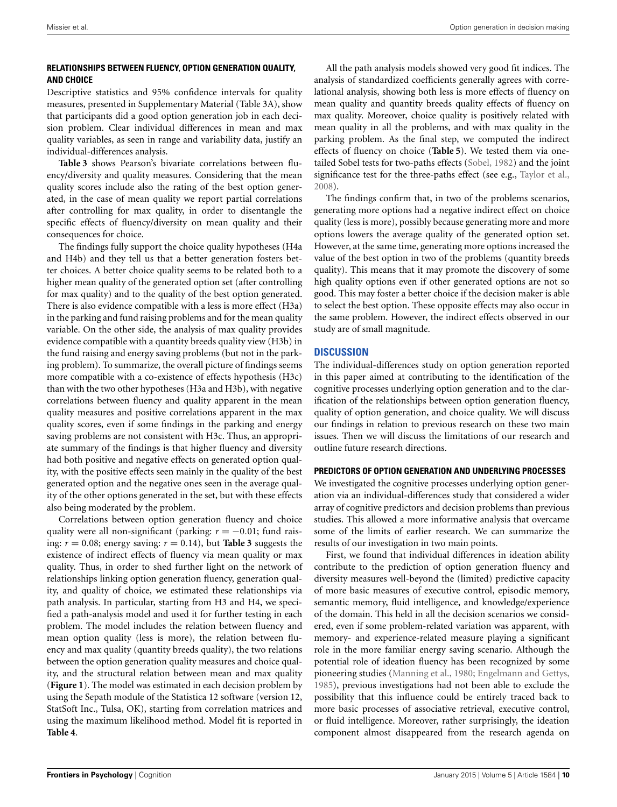## **RELATIONSHIPS BETWEEN FLUENCY, OPTION GENERATION QUALITY, AND CHOICE**

Descriptive statistics and 95% confidence intervals for quality measures, presented in Supplementary Material (Table 3A), show that participants did a good option generation job in each decision problem. Clear individual differences in mean and max quality variables, as seen in range and variability data, justify an individual-differences analysis.

**[Table 3](#page-8-2)** shows Pearson's bivariate correlations between fluency/diversity and quality measures. Considering that the mean quality scores include also the rating of the best option generated, in the case of mean quality we report partial correlations after controlling for max quality, in order to disentangle the specific effects of fluency/diversity on mean quality and their consequences for choice.

The findings fully support the choice quality hypotheses (H4a and H4b) and they tell us that a better generation fosters better choices. A better choice quality seems to be related both to a higher mean quality of the generated option set (after controlling for max quality) and to the quality of the best option generated. There is also evidence compatible with a less is more effect (H3a) in the parking and fund raising problems and for the mean quality variable. On the other side, the analysis of max quality provides evidence compatible with a quantity breeds quality view (H3b) in the fund raising and energy saving problems (but not in the parking problem). To summarize, the overall picture of findings seems more compatible with a co-existence of effects hypothesis (H3c) than with the two other hypotheses (H3a and H3b), with negative correlations between fluency and quality apparent in the mean quality measures and positive correlations apparent in the max quality scores, even if some findings in the parking and energy saving problems are not consistent with H3c. Thus, an appropriate summary of the findings is that higher fluency and diversity had both positive and negative effects on generated option quality, with the positive effects seen mainly in the quality of the best generated option and the negative ones seen in the average quality of the other options generated in the set, but with these effects also being moderated by the problem.

Correlations between option generation fluency and choice quality were all non-significant (parking: *r* = −0.01; fund raising:  $r = 0.08$ ; energy saving:  $r = 0.14$ ), but **[Table 3](#page-8-2)** suggests the existence of indirect effects of fluency via mean quality or max quality. Thus, in order to shed further light on the network of relationships linking option generation fluency, generation quality, and quality of choice, we estimated these relationships via path analysis. In particular, starting from H3 and H4, we specified a path-analysis model and used it for further testing in each problem. The model includes the relation between fluency and mean option quality (less is more), the relation between fluency and max quality (quantity breeds quality), the two relations between the option generation quality measures and choice quality, and the structural relation between mean and max quality (**[Figure 1](#page-10-0)**). The model was estimated in each decision problem by using the Sepath module of the Statistica 12 software (version 12, StatSoft Inc., Tulsa, OK), starting from correlation matrices and using the maximum likelihood method. Model fit is reported in **[Table 4](#page-11-0)**.

All the path analysis models showed very good fit indices. The analysis of standardized coefficients generally agrees with correlational analysis, showing both less is more effects of fluency on mean quality and quantity breeds quality effects of fluency on max quality. Moreover, choice quality is positively related with mean quality in all the problems, and with max quality in the parking problem. As the final step, we computed the indirect effects of fluency on choice (**[Table 5](#page-11-1)**). We tested them via onetailed Sobel tests for two-paths effects [\(Sobel](#page-14-42), [1982](#page-14-42)) and the joint significance test for the three-paths effect (see e.g., [Taylor et al.](#page-14-43), [2008](#page-14-43)).

The findings confirm that, in two of the problems scenarios, generating more options had a negative indirect effect on choice quality (less is more), possibly because generating more and more options lowers the average quality of the generated option set. However, at the same time, generating more options increased the value of the best option in two of the problems (quantity breeds quality). This means that it may promote the discovery of some high quality options even if other generated options are not so good. This may foster a better choice if the decision maker is able to select the best option. These opposite effects may also occur in the same problem. However, the indirect effects observed in our study are of small magnitude.

# **DISCUSSION**

The individual-differences study on option generation reported in this paper aimed at contributing to the identification of the cognitive processes underlying option generation and to the clarification of the relationships between option generation fluency, quality of option generation, and choice quality. We will discuss our findings in relation to previous research on these two main issues. Then we will discuss the limitations of our research and outline future research directions.

## **PREDICTORS OF OPTION GENERATION AND UNDERLYING PROCESSES**

We investigated the cognitive processes underlying option generation via an individual-differences study that considered a wider array of cognitive predictors and decision problems than previous studies. This allowed a more informative analysis that overcame some of the limits of earlier research. We can summarize the results of our investigation in two main points.

First, we found that individual differences in ideation ability contribute to the prediction of option generation fluency and diversity measures well-beyond the (limited) predictive capacity of more basic measures of executive control, episodic memory, semantic memory, fluid intelligence, and knowledge/experience of the domain. This held in all the decision scenarios we considered, even if some problem-related variation was apparent, with memory- and experience-related measure playing a significant role in the more familiar energy saving scenario. Although the potential role of ideation fluency has been recognized by some pioneering studies [\(Manning et al., 1980](#page-14-8); [Engelmann and Gettys](#page-13-3), [1985](#page-13-3)), previous investigations had not been able to exclude the possibility that this influence could be entirely traced back to more basic processes of associative retrieval, executive control, or fluid intelligence. Moreover, rather surprisingly, the ideation component almost disappeared from the research agenda on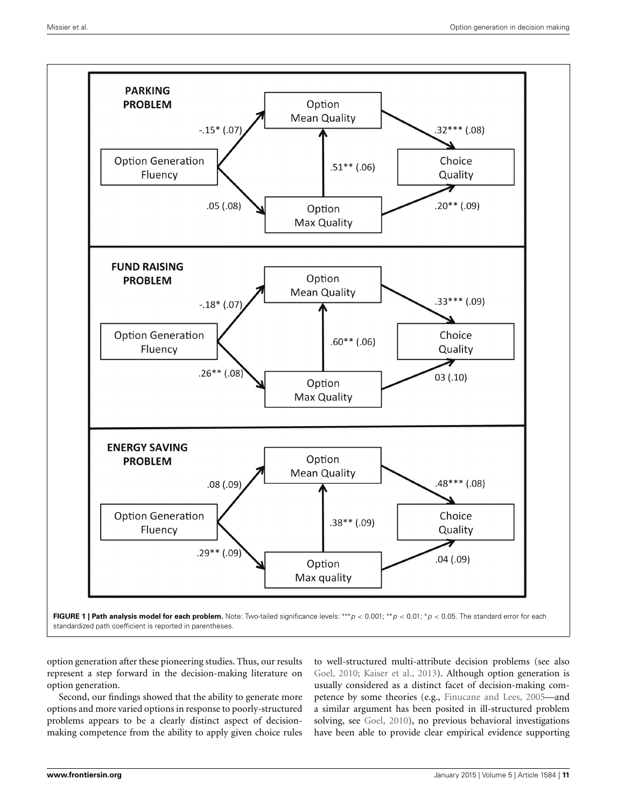

<span id="page-10-0"></span>option generation after these pioneering studies. Thus, our results represent a step forward in the decision-making literature on option generation.

Second, our findings showed that the ability to generate more options and more varied options in response to poorly-structured problems appears to be a clearly distinct aspect of decisionmaking competence from the ability to apply given choice rules

to well-structured multi-attribute decision problems (see also [Goel](#page-14-1), [2010](#page-14-1); [Kaiser et al., 2013\)](#page-14-12). Although option generation is usually considered as a distinct facet of decision-making competence by some theories (e.g., [Finucane and Lees, 2005—](#page-13-0)and a similar argument has been posited in ill-structured problem solving, see [Goel, 2010\)](#page-14-1), no previous behavioral investigations have been able to provide clear empirical evidence supporting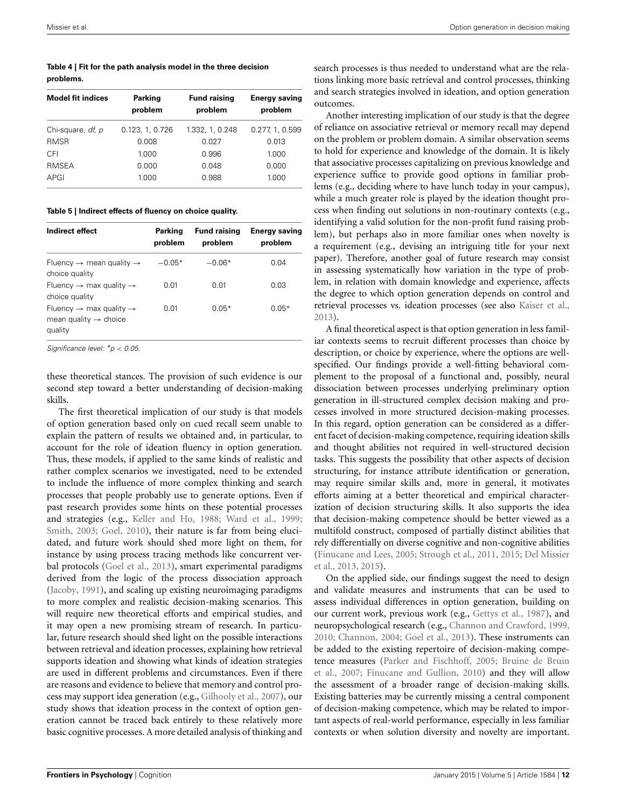#### <span id="page-11-0"></span>**Table 4 | Fit for the path analysis model in the three decision problems.**

| <b>Model fit indices</b> | <b>Parking</b><br>problem | <b>Fund raising</b><br>problem | <b>Energy saving</b><br>problem |  |
|--------------------------|---------------------------|--------------------------------|---------------------------------|--|
| Chi-square, df, p        | 0.123, 1, 0.726           | 1.332, 1, 0.248                | 0.277, 1, 0.599                 |  |
| <b>RMSR</b>              | 0.008                     | 0.027                          | 0.013                           |  |
| CFI                      | 1.000                     | 0.996                          | 1.000                           |  |
| <b>RMSEA</b>             | 0.000                     | 0.048                          | 0.000                           |  |
| APGI                     | 1.000                     | 0.988                          | 1.000                           |  |

<span id="page-11-1"></span>**Table 5 | Indirect effects of fluency on choice quality.**

| Indirect effect                                                                                 | Parking<br>problem | <b>Fund raising</b><br>problem | <b>Energy saving</b><br>problem |  |
|-------------------------------------------------------------------------------------------------|--------------------|--------------------------------|---------------------------------|--|
| Fluency $\rightarrow$ mean quality $\rightarrow$<br>choice quality                              | $-0.05*$           | $-0.06*$                       | 0.04                            |  |
| Fluency $\rightarrow$ max quality $\rightarrow$<br>choice quality                               | 0.01               | 0.01                           | 0.03                            |  |
| Fluency $\rightarrow$ max quality $\rightarrow$<br>mean quality $\rightarrow$ choice<br>quality | 0.01               | $0.05*$                        | $0.05*$                         |  |

*Significance level: \*p* < *0.05.*

these theoretical stances. The provision of such evidence is our second step toward a better understanding of decision-making skills.

The first theoretical implication of our study is that models of option generation based only on cued recall seem unable to explain the pattern of results we obtained and, in particular, to account for the role of ideation fluency in option generation. Thus, these models, if applied to the same kinds of realistic and rather complex scenarios we investigated, need to be extended to include the influence of more complex thinking and search processes that people probably use to generate options. Even if past research provides some hints on these potential processes and strategies (e.g., [Keller and Ho, 1988](#page-14-4); [Ward et al.](#page-15-0), [1999;](#page-15-0) [Smith, 2003](#page-14-20); [Goel](#page-14-1), [2010](#page-14-1)), their nature is far from being elucidated, and future work should shed more light on them, for instance by using process tracing methods like concurrent verbal protocols [\(Goel et al.](#page-14-44), [2013](#page-14-44)), smart experimental paradigms derived from the logic of the process dissociation approach [\(Jacoby, 1991\)](#page-14-45), and scaling up existing neuroimaging paradigms to more complex and realistic decision-making scenarios. This will require new theoretical efforts and empirical studies, and it may open a new promising stream of research. In particular, future research should shed light on the possible interactions between retrieval and ideation processes, explaining how retrieval supports ideation and showing what kinds of ideation strategies are used in different problems and circumstances. Even if there are reasons and evidence to believe that memory and control process may support idea generation (e.g., [Gilhooly et al., 2007](#page-14-29)), our study shows that ideation process in the context of option generation cannot be traced back entirely to these relatively more basic cognitive processes. A more detailed analysis of thinking and

search processes is thus needed to understand what are the relations linking more basic retrieval and control processes, thinking and search strategies involved in ideation, and option generation outcomes.

Another interesting implication of our study is that the degree of reliance on associative retrieval or memory recall may depend on the problem or problem domain. A similar observation seems to hold for experience and knowledge of the domain. It is likely that associative processes capitalizing on previous knowledge and experience suffice to provide good options in familiar problems (e.g., deciding where to have lunch today in your campus), while a much greater role is played by the ideation thought process when finding out solutions in non-routinary contexts (e.g., identifying a valid solution for the non-profit fund raising problem), but perhaps also in more familiar ones when novelty is a requirement (e.g., devising an intriguing title for your next paper). Therefore, another goal of future research may consist in assessing systematically how variation in the type of problem, in relation with domain knowledge and experience, affects the degree to which option generation depends on control and retrieval processes vs. ideation processes (see also [Kaiser et al.](#page-14-12), [2013](#page-14-12)).

A final theoretical aspect is that option generation in less familiar contexts seems to recruit different processes than choice by description, or choice by experience, where the options are wellspecified. Our findings provide a well-fitting behavioral complement to the proposal of a functional and, possibly, neural dissociation between processes underlying preliminary option generation in ill-structured complex decision making and processes involved in more structured decision-making processes. In this regard, option generation can be considered as a different facet of decision-making competence, requiring ideation skills and thought abilities not required in well-structured decision tasks. This suggests the possibility that other aspects of decision structuring, for instance attribute identification or generation, may require similar skills and, more in general, it motivates efforts aiming at a better theoretical and empirical characterization of decision structuring skills. It also supports the idea that decision-making competence should be better viewed as a multifold construct, composed of partially distinct abilities that rely differentially on diverse cognitive and non-cognitive abilities [\(Finucane and Lees](#page-13-0)[,](#page-13-10) [2005](#page-13-0)[;](#page-13-10) [Strough et al.](#page-14-46)[,](#page-13-10) [2011](#page-14-46)[,](#page-13-10) [2015;](#page-14-47) Del Missier et al., [2013,](#page-13-10) [2015](#page-13-24)).

On the applied side, our findings suggest the need to design and validate measures and instruments that can be used to assess individual differences in option generation, building on our current work, previous work (e.g., [Gettys et al., 1987](#page-14-2)), and neuropsychological research (e.g., [Channon and Crawford, 1999](#page-13-4), [2010](#page-13-25); [Channon](#page-13-26), [2004;](#page-13-26) [Goel et al.](#page-14-44), [2013\)](#page-14-44). These instruments can be added to the existing repertoire of decision-making competence [measures](#page-13-8) [\(Parker and Fischhoff](#page-14-3)[,](#page-13-8) [2005](#page-14-3)[;](#page-13-8) Bruine de Bruin et al., [2007;](#page-13-8) [Finucane and Gullion](#page-13-16), [2010](#page-13-16)) and they will allow the assessment of a broader range of decision-making skills. Existing batteries may be currently missing a central component of decision-making competence, which may be related to important aspects of real-world performance, especially in less familiar contexts or when solution diversity and novelty are important.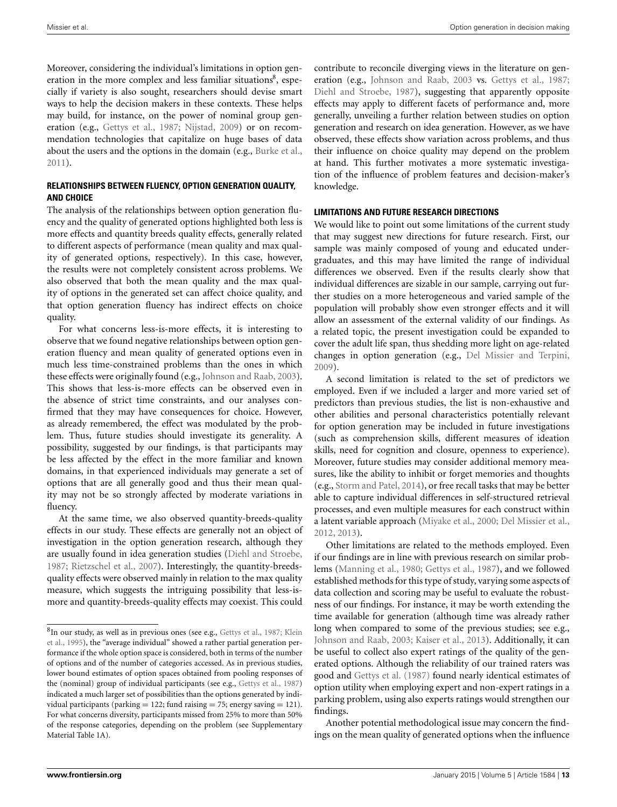Moreover, considering the individual's limitations in option generation in the more complex and less familiar situations<sup>8</sup>, especially if variety is also sought, researchers should devise smart ways to help the decision makers in these contexts. These helps may build, for instance, on the power of nominal group generation (e.g., [Gettys et al.](#page-14-2), [1987](#page-14-2); [Nijstad, 2009](#page-14-23)) or on recommendation technologies that capitalize on huge bases of data about the users and the options in the domain (e.g., [Burke et al.,](#page-13-27) [2011](#page-13-27)).

## **RELATIONSHIPS BETWEEN FLUENCY, OPTION GENERATION QUALITY, AND CHOICE**

The analysis of the relationships between option generation fluency and the quality of generated options highlighted both less is more effects and quantity breeds quality effects, generally related to different aspects of performance (mean quality and max quality of generated options, respectively). In this case, however, the results were not completely consistent across problems. We also observed that both the mean quality and the max quality of options in the generated set can affect choice quality, and that option generation fluency has indirect effects on choice quality.

For what concerns less-is-more effects, it is interesting to observe that we found negative relationships between option generation fluency and mean quality of generated options even in much less time-constrained problems than the ones in which these effects were originally found (e.g., [Johnson and Raab, 2003](#page-14-14)). This shows that less-is-more effects can be observed even in the absence of strict time constraints, and our analyses confirmed that they may have consequences for choice. However, as already remembered, the effect was modulated by the problem. Thus, future studies should investigate its generality. A possibility, suggested by our findings, is that participants may be less affected by the effect in the more familiar and known domains, in that experienced individuals may generate a set of options that are all generally good and thus their mean quality may not be so strongly affected by moderate variations in fluency.

At the same time, we also observed quantity-breeds-quality effects in our study. These effects are generally not an object of investigation in the option generation research, although they are usually found in idea generation studies [\(Diehl and Stroebe,](#page-13-15) [1987](#page-13-15); [Rietzschel et al., 2007](#page-14-22)). Interestingly, the quantity-breedsquality effects were observed mainly in relation to the max quality measure, which suggests the intriguing possibility that less-ismore and quantity-breeds-quality effects may coexist. This could

contribute to reconcile diverging views in the literature on generation (e.g., [Johnson and Raab](#page-14-14), [2003](#page-14-14) vs. [Gettys et al., 1987;](#page-14-2) [Diehl and Stroebe](#page-13-15), [1987](#page-13-15)), suggesting that apparently opposite effects may apply to different facets of performance and, more generally, unveiling a further relation between studies on option generation and research on idea generation. However, as we have observed, these effects show variation across problems, and thus their influence on choice quality may depend on the problem at hand. This further motivates a more systematic investigation of the influence of problem features and decision-maker's knowledge.

#### **LIMITATIONS AND FUTURE RESEARCH DIRECTIONS**

We would like to point out some limitations of the current study that may suggest new directions for future research. First, our sample was mainly composed of young and educated undergraduates, and this may have limited the range of individual differences we observed. Even if the results clearly show that individual differences are sizable in our sample, carrying out further studies on a more heterogeneous and varied sample of the population will probably show even stronger effects and it will allow an assessment of the external validity of our findings. As a related topic, the present investigation could be expanded to cover the adult life span, thus shedding more light on age-related changes in option generation (e.g., [Del Missier and Terpini,](#page-13-14) [2009](#page-13-14)).

A second limitation is related to the set of predictors we employed. Even if we included a larger and more varied set of predictors than previous studies, the list is non-exhaustive and other abilities and personal characteristics potentially relevant for option generation may be included in future investigations (such as comprehension skills, different measures of ideation skills, need for cognition and closure, openness to experience). Moreover, future studies may consider additional memory measures, like the ability to inhibit or forget memories and thoughts (e.g., [Storm and Patel, 2014](#page-14-21)), or free recall tasks that may be better able to capture individual differences in self-structured retrieval processes, and even multiple measures for each construct within a latent variable approach [\(Miyake et al., 2000;](#page-14-34) [Del Missier et al.,](#page-13-11) [2012](#page-13-11), [2013](#page-13-10)).

Other limitations are related to the methods employed. Even if our findings are in line with previous research on similar problems [\(Manning et al., 1980;](#page-14-8) [Gettys et al., 1987\)](#page-14-2), and we followed established methods for this type of study, varying some aspects of data collection and scoring may be useful to evaluate the robustness of our findings. For instance, it may be worth extending the time available for generation (although time was already rather long when compared to some of the previous studies; see e.g., [Johnson and Raab](#page-14-14), [2003](#page-14-14); [Kaiser et al., 2013\)](#page-14-12). Additionally, it can be useful to collect also expert ratings of the quality of the generated options. Although the reliability of our trained raters was good and [Gettys et al.](#page-14-2) [\(1987](#page-14-2)) found nearly identical estimates of option utility when employing expert and non-expert ratings in a parking problem, using also experts ratings would strengthen our findings.

Another potential methodological issue may concern the findings on the mean quality of generated options when the influence

<sup>8</sup>In [our](#page-14-10) [study,](#page-14-10) [as](#page-14-10) [well](#page-14-10) [as](#page-14-10) [in](#page-14-10) [previous](#page-14-10) [ones](#page-14-10) [\(see](#page-14-10) [e.g.,](#page-14-10) [Gettys et al., 1987](#page-14-2); Klein et al., [1995\)](#page-14-10), the "average individual" showed a rather partial generation performance if the whole option space is considered, both in terms of the number of options and of the number of categories accessed. As in previous studies, lower bound estimates of option spaces obtained from pooling responses of the (nominal) group of individual participants (see e.g., [Gettys et al.](#page-14-2), [1987\)](#page-14-2) indicated a much larger set of possibilities than the options generated by individual participants (parking  $= 122$ ; fund raising  $= 75$ ; energy saving  $= 121$ ). For what concerns diversity, participants missed from 25% to more than 50% of the response categories, depending on the problem (see Supplementary Material Table 1A).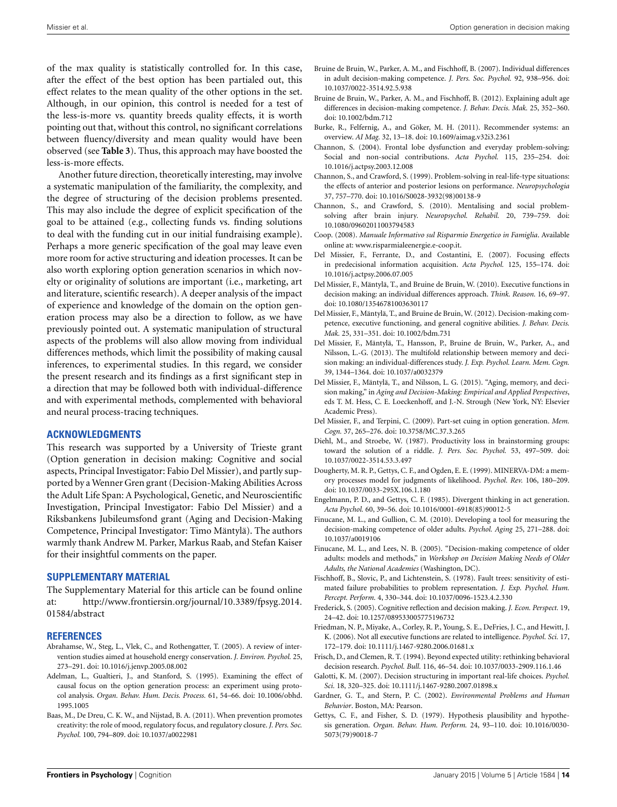of the max quality is statistically controlled for. In this case, after the effect of the best option has been partialed out, this effect relates to the mean quality of the other options in the set. Although, in our opinion, this control is needed for a test of the less-is-more vs. quantity breeds quality effects, it is worth

pointing out that, without this control, no significant correlations between fluency/diversity and mean quality would have been observed (see **[Table 3](#page-8-2)**). Thus, this approach may have boosted the less-is-more effects.

Another future direction, theoretically interesting, may involve a systematic manipulation of the familiarity, the complexity, and the degree of structuring of the decision problems presented. This may also include the degree of explicit specification of the goal to be attained (e.g., collecting funds vs. finding solutions to deal with the funding cut in our initial fundraising example). Perhaps a more generic specification of the goal may leave even more room for active structuring and ideation processes. It can be also worth exploring option generation scenarios in which novelty or originality of solutions are important (i.e., marketing, art and literature, scientific research). A deeper analysis of the impact of experience and knowledge of the domain on the option generation process may also be a direction to follow, as we have previously pointed out. A systematic manipulation of structural aspects of the problems will also allow moving from individual differences methods, which limit the possibility of making causal inferences, to experimental studies. In this regard, we consider the present research and its findings as a first significant step in a direction that may be followed both with individual-difference and with experimental methods, complemented with behavioral and neural process-tracing techniques.

#### **ACKNOWLEDGMENTS**

This research was supported by a University of Trieste grant (Option generation in decision making: Cognitive and social aspects, Principal Investigator: Fabio Del Missier), and partly supported by a Wenner Gren grant (Decision-Making Abilities Across the Adult Life Span: A Psychological, Genetic, and Neuroscientific Investigation, Principal Investigator: Fabio Del Missier) and a Riksbankens Jubileumsfond grant (Aging and Decision-Making Competence, Principal Investigator: Timo Mäntylä). The authors warmly thank Andrew M. Parker, Markus Raab, and Stefan Kaiser for their insightful comments on the paper.

#### **SUPPLEMENTARY MATERIAL**

The Supplementary Material for this article can be found online at: http://www.frontiersin.[org/journal/10](http://www.frontiersin.org/journal/10.3389/fpsyg.2014.01584/abstract).3389/fpsyg.2014. [01584/abstract](http://www.frontiersin.org/journal/10.3389/fpsyg.2014.01584/abstract)

#### **REFERENCES**

- <span id="page-13-18"></span>Abrahamse, W., Steg, L., Vlek, C., and Rothengatter, T. (2005). A review of intervention studies aimed at household energy conservation. *J. Environ. Psychol.* 25, 273–291. doi: 10.1016/j.jenvp.2005.08.002
- <span id="page-13-5"></span>Adelman, L., Gualtieri, J., and Stanford, S. (1995). Examining the effect of causal focus on the option generation process: an experiment using protocol analysis. *Organ. Behav. Hum. Decis. Process.* 61, 54–66. doi: 10.1006/obhd. 1995.1005
- <span id="page-13-20"></span>Baas, M., De Dreu, C. K. W., and Nijstad, B. A. (2011). When prevention promotes creativity: the role of mood, regulatory focus, and regulatory closure. *J. Pers. Soc. Psychol.* 100, 794–809. doi: 10.1037/a0022981
- <span id="page-13-8"></span>Bruine de Bruin, W., Parker, A. M., and Fischhoff, B. (2007). Individual differences in adult decision-making competence. *J. Pers. Soc. Psychol.* 92, 938–956. doi: 10.1037/0022-3514.92.5.938
- <span id="page-13-9"></span>Bruine de Bruin, W., Parker, A. M., and Fischhoff, B. (2012). Explaining adult age differences in decision-making competence. *J. Behav. Decis. Mak.* 25, 352–360. doi: 10.1002/bdm.712
- <span id="page-13-27"></span>Burke, R., Felfernig, A., and Göker, M. H. (2011). Recommender systems: an overview. *AI Mag.* 32, 13–18. doi: 10.1609/aimag.v32i3.2361
- <span id="page-13-26"></span>Channon, S. (2004). Frontal lobe dysfunction and everyday problem-solving: Social and non-social contributions. *Acta Psychol.* 115, 235–254. doi: 10.1016/j.actpsy.2003.12.008
- <span id="page-13-4"></span>Channon, S., and Crawford, S. (1999). Problem-solving in real-life-type situations: the effects of anterior and posterior lesions on performance. *Neuropsychologia* 37, 757–770. doi: 10.1016/S0028-3932(98)00138-9
- <span id="page-13-25"></span>Channon, S., and Crawford, S. (2010). Mentalising and social problemsolving after brain injury*. Neuropsychol. Rehabil.* 20, 739–759. doi: 10.1080/09602011003794583
- <span id="page-13-19"></span>Coop. (2008). *Manuale Informativo sul Risparmio Energetico in Famiglia*. Available online at: [www.risparmialeenergie.e-coop.it.](http://www.risparmialeenergie.e-coop.it)
- <span id="page-13-13"></span>Del Missier, F., Ferrante, D., and Costantini, E. (2007). Focusing effects in predecisional information acquisition. *Acta Psychol.* 125, 155–174. doi: 10.1016/j.actpsy.2006.07.005
- <span id="page-13-21"></span>Del Missier, F., Mäntylä, T., and Bruine de Bruin, W. (2010). Executive functions in decision making: an individual differences approach. *Think. Reason.* 16, 69–97. doi: 10.1080/13546781003630117
- <span id="page-13-11"></span>Del Missier, F., Mäntylä, T., and Bruine de Bruin, W. (2012). Decision-making competence, executive functioning, and general cognitive abilities. *J. Behav. Decis. Mak.* 25, 331–351. doi: 10.1002/bdm.731
- <span id="page-13-10"></span>Del Missier, F., Mäntylä, T., Hansson, P., Bruine de Bruin, W., Parker, A., and Nilsson, L.-G. (2013). The multifold relationship between memory and decision making: an individual-differences study. *J. Exp. Psychol. Learn. Mem. Cogn.* 39, 1344–1364. doi: 10.1037/a0032379
- <span id="page-13-24"></span>Del Missier, F., Mäntylä, T., and Nilsson, L. G. (2015). "Aging, memory, and decision making," in *Aging and Decision-Making: Empirical and Applied Perspectives*, eds T. M. Hess, C. E. Loeckenhoff, and J.-N. Strough (New York, NY: Elsevier Academic Press).
- <span id="page-13-14"></span>Del Missier, F., and Terpini, C. (2009). Part-set cuing in option generation. *Mem. Cogn.* 37, 265–276. doi: 10.3758/MC.37.3.265
- <span id="page-13-15"></span>Diehl, M., and Stroebe, W. (1987). Productivity loss in brainstorming groups: toward the solution of a riddle. *J. Pers. Soc. Psychol.* 53, 497–509. doi: 10.1037/0022-3514.53.3.497
- <span id="page-13-7"></span>Dougherty, M. R. P., Gettys, C. F., and Ogden, E. E. (1999). MINERVA-DM: a memory processes model for judgments of likelihood. *Psychol. Rev.* 106, 180–209. doi: 10.1037/0033-295X.106.1.180
- <span id="page-13-3"></span>Engelmann, P. D., and Gettys, C. F. (1985). Divergent thinking in act generation. *Acta Psychol.* 60, 39–56. doi: 10.1016/0001-6918(85)90012-5
- <span id="page-13-16"></span>Finucane, M. L., and Gullion, C. M. (2010). Developing a tool for measuring the decision-making competence of older adults. *Psychol. Aging* 25, 271–288. doi: 10.1037/a0019106
- <span id="page-13-0"></span>Finucane, M. L., and Lees, N. B. (2005). "Decision-making competence of older adults: models and methods," in *Workshop on Decision Making Needs of Older Adults, the National Academies* (Washington, DC).
- <span id="page-13-12"></span>Fischhoff, B., Slovic, P., and Lichtenstein, S. (1978). Fault trees: sensitivity of estimated failure probabilities to problem representation. *J. Exp. Psychol. Hum. Percept. Perform.* 4, 330–344. doi: 10.1037/0096-1523.4.2.330
- <span id="page-13-23"></span>Frederick, S. (2005). Cognitive reflection and decision making. *J. Econ. Perspect.* 19, 24–42. doi: 10.1257/089533005775196732
- <span id="page-13-22"></span>Friedman, N. P., Miyake, A., Corley, R. P., Young, S. E., DeFries, J. C., and Hewitt, J. K. (2006). Not all executive functions are related to intelligence. *Psychol. Sci.* 17, 172–179. doi: 10.1111/j.1467-9280.2006.01681.x
- <span id="page-13-2"></span>Frisch, D., and Clemen, R. T. (1994). Beyond expected utility: rethinking behavioral decision research. *Psychol. Bull.* 116, 46–54. doi: 10.1037/0033-2909.116.1.46
- <span id="page-13-1"></span>Galotti, K. M. (2007). Decision structuring in important real-life choices. *Psychol. Sci.* 18, 320–325. doi: 10.1111/j.1467-9280.2007.01898.x
- <span id="page-13-17"></span>Gardner, G. T., and Stern, P. C. (2002). *Environmental Problems and Human Behavior*. Boston, MA: Pearson.
- <span id="page-13-6"></span>Gettys, C. F., and Fisher, S. D. (1979). Hypothesis plausibility and hypothesis generation. *Organ. Behav. Hum. Perform.* 24, 93–110. doi: 10.1016/0030- 5073(79)90018-7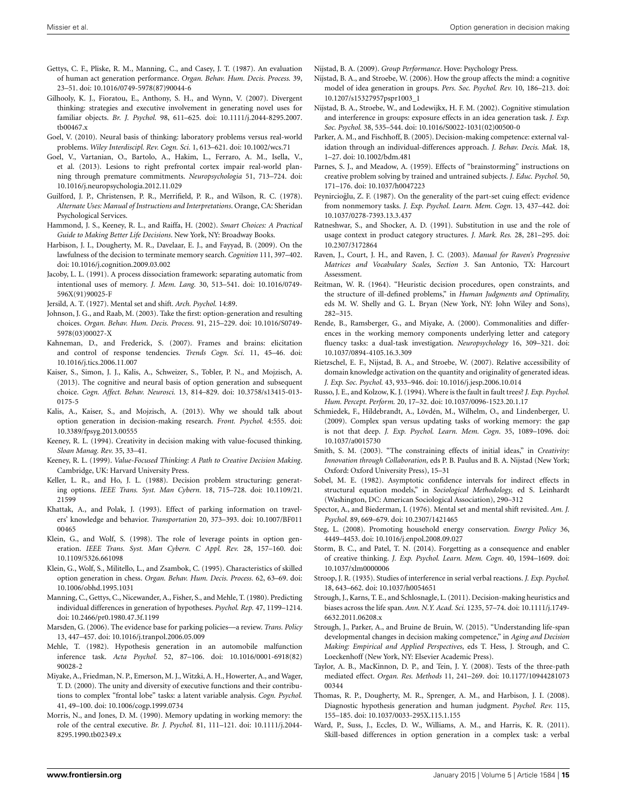- <span id="page-14-2"></span>Gettys, C. F., Pliske, R. M., Manning, C., and Casey, J. T. (1987). An evaluation of human act generation performance. *Organ. Behav. Hum. Decis. Process.* 39, 23–51. doi: 10.1016/0749-5978(87)90044-6
- <span id="page-14-29"></span>Gilhooly, K. J., Fioratou, E., Anthony, S. H., and Wynn, V. (2007). Divergent thinking: strategies and executive involvement in generating novel uses for familiar objects. *Br. J. Psychol.* 98, 611–625. doi: 10.1111/j.2044-8295.2007. tb00467.x
- <span id="page-14-1"></span>Goel, V. (2010). Neural basis of thinking: laboratory problems versus real-world problems. *Wiley Interdiscipl. Rev. Cogn. Sci.* 1, 613–621. doi: 10.1002/wcs.71
- <span id="page-14-44"></span>Goel, V., Vartanian, O., Bartolo, A., Hakim, L., Ferraro, A. M., Isella, V., et al. (2013). Lesions to right prefrontal cortex impair real-world planning through premature commitments. *Neuropsychologia* 51, 713–724. doi: 10.1016/j.neuropsychologia.2012.11.029
- <span id="page-14-28"></span>Guilford, J. P., Christensen, P. R., Merrifield, P. R., and Wilson, R. C. (1978). *Alternate Uses: Manual of Instructions and Interpretations*. Orange, CA: Sheridan Psychological Services.
- <span id="page-14-7"></span>Hammond, J. S., Keeney, R. L., and Raiffa, H. (2002). *Smart Choices: A Practical Guide to Making Better Life Decisions*. New York, NY: Broadway Books.
- <span id="page-14-27"></span>Harbison, J. I., Dougherty, M. R., Davelaar, E. J., and Fayyad, B. (2009). On the lawfulness of the decision to terminate memory search. *Cognition* 111, 397–402. doi: 10.1016/j.cognition.2009.03.002
- <span id="page-14-45"></span>Jacoby, L. L. (1991). A process dissociation framework: separating automatic from intentional uses of memory. *J. Mem. Lang.* 30, 513–541. doi: 10.1016/0749- 596X(91)90025-F
- <span id="page-14-37"></span>Jersild, A. T. (1927). Mental set and shift. *Arch. Psychol.* 14:89.
- <span id="page-14-14"></span>Johnson, J. G., and Raab, M. (2003). Take the first: option-generation and resulting choices. *Organ. Behav. Hum. Decis. Process.* 91, 215–229. doi: 10.1016/S0749- 5978(03)00027-X
- <span id="page-14-41"></span>Kahneman, D., and Frederick, S. (2007). Frames and brains: elicitation and control of response tendencies. *Trends Cogn. Sci.* 11, 45–46. doi: 10.1016/j.tics.2006.11.007
- <span id="page-14-12"></span>Kaiser, S., Simon, J. J., Kalis, A., Schweizer, S., Tobler, P. N., and Mojzisch, A. (2013). The cognitive and neural basis of option generation and subsequent choice. *Cogn. Affect. Behav. Neurosci.* 13, 814–829. doi: 10.3758/s13415-013- 0175-5
- <span id="page-14-5"></span>Kalis, A., Kaiser, S., and Mojzisch, A. (2013). Why we should talk about option generation in decision-making research. *Front. Psychol.* 4:555. doi: 10.3389/fpsyg.2013.00555
- <span id="page-14-19"></span>Keeney, R. L. (1994). Creativity in decision making with value-focused thinking. *Sloan Manag. Rev.* 35, 33–41.
- <span id="page-14-6"></span>Keeney, R. L. (1999). *Value-Focused Thinking: A Path to Creative Decision Making*. Cambridge, UK: Harvard University Press.
- <span id="page-14-4"></span>Keller, L. R., and Ho, J. L. (1988). Decision problem structuring: generating options. *IEEE Trans. Syst. Man Cybern.* 18, 715–728. doi: 10.1109/21. 21599
- <span id="page-14-30"></span>Khattak, A., and Polak, J. (1993). Effect of parking information on travelers' knowledge and behavior. *Transportation* 20, 373–393. doi: 10.1007/BF011 00465
- <span id="page-14-18"></span>Klein, G., and Wolf, S. (1998). The role of leverage points in option generation. *IEEE Trans. Syst. Man Cybern. C Appl. Rev.* 28, 157–160. doi: 10.1109/5326.661098
- <span id="page-14-10"></span>Klein, G., Wolf, S., Militello, L., and Zsambok, C. (1995). Characteristics of skilled option generation in chess. *Organ. Behav. Hum. Decis. Process.* 62, 63–69. doi: 10.1006/obhd.1995.1031
- <span id="page-14-8"></span>Manning, C., Gettys, C., Nicewander, A., Fisher, S., and Mehle, T. (1980). Predicting individual differences in generation of hypotheses. *Psychol. Rep.* 47, 1199–1214. doi: 10.2466/pr0.1980.47.3f.1199
- <span id="page-14-32"></span>Marsden, G. (2006). The evidence base for parking policies—a review. *Trans. Policy* 13, 447–457. doi: 10.1016/j.tranpol.2006.05.009
- <span id="page-14-9"></span>Mehle, T. (1982). Hypothesis generation in an automobile malfunction inference task. *Acta Psychol.* 52, 87–106. doi: 10.1016/0001-6918(82) 90028-2
- <span id="page-14-34"></span>Miyake, A., Friedman, N. P., Emerson, M. J., Witzki, A. H., Howerter, A., and Wager, T. D. (2000). The unity and diversity of executive functions and their contributions to complex "frontal lobe" tasks: a latent variable analysis. *Cogn. Psychol.* 41, 49–100. doi: 10.1006/cogp.1999.0734
- <span id="page-14-33"></span>Morris, N., and Jones, D. M. (1990). Memory updating in working memory: the role of the central executive. *Br. J. Psychol.* 81, 111–121. doi: 10.1111/j.2044- 8295.1990.tb02349.x

<span id="page-14-23"></span>Nijstad, B. A. (2009). *Group Performance*. Hove: Psychology Press.

- <span id="page-14-17"></span>Nijstad, B. A., and Stroebe, W. (2006). How the group affects the mind: a cognitive model of idea generation in groups. *Pers. Soc. Psychol. Rev.* 10, 186–213. doi: 10.1207/s15327957pspr1003\_1
- <span id="page-14-16"></span>Nijstad, B. A., Stroebe, W., and Lodewijkx, H. F. M. (2002). Cognitive stimulation and interference in groups: exposure effects in an idea generation task. *J. Exp. Soc. Psychol.* 38, 535–544. doi: 10.1016/S0022-1031(02)00500-0
- <span id="page-14-3"></span>Parker, A. M., and Fischhoff, B. (2005). Decision-making competence: external validation through an individual-differences approach. *J. Behav. Decis. Mak.* 18, 1–27. doi: 10.1002/bdm.481
- <span id="page-14-26"></span>Parnes, S. J., and Meadow, A. (1959). Effects of "brainstorming" instructions on creative problem solving by trained and untrained subjects. *J. Educ. Psychol.* 50, 171–176. doi: 10.1037/h0047223
- <span id="page-14-25"></span>Peynircioğlu, Z. F. (1987). On the generality of the part-set cuing effect: evidence from nonmemory tasks. *J. Exp. Psychol. Learn. Mem. Cogn*. 13, 437–442. doi: 10.1037/0278-7393.13.3.437
- <span id="page-14-13"></span>Ratneshwar, S., and Shocker, A. D. (1991). Substitution in use and the role of usage context in product category structures. *J. Mark. Res.* 28, 281–295. doi: 10.2307/3172864
- <span id="page-14-40"></span>Raven, J., Court, J. H., and Raven, J. C. (2003). *Manual for Raven's Progressive Matrices and Vocabulary Scales, Section 3*. San Antonio, TX: Harcourt Assessment.
- <span id="page-14-0"></span>Reitman, W. R. (1964). "Heuristic decision procedures, open constraints, and the structure of ill-defined problems," in *Human Judgments and Optimality,* eds M. W. Shelly and G. L. Bryan (New York, NY: John Wiley and Sons), 282–315.
- <span id="page-14-39"></span>Rende, B., Ramsberger, G., and Miyake, A. (2000). Commonalities and differences in the working memory components underlying letter and category fluency tasks: a dual-task investigation. *Neuropsychology* 16, 309–321. doi: 10.1037/0894-4105.16.3.309
- <span id="page-14-22"></span>Rietzschel, E. F., Nijstad, B. A., and Stroebe, W. (2007). Relative accessibility of domain knowledge activation on the quantity and originality of generated ideas. *J. Exp. Soc. Psychol.* 43, 933–946. doi: 10.1016/j.jesp.2006.10.014
- <span id="page-14-24"></span>Russo, J. E., and Kolzow, K. J. (1994). Where is the fault in fault trees? *J. Exp. Psychol. Hum. Percept. Perform.* 20, 17–32. doi: 10.1037/0096-1523.20.1.17
- <span id="page-14-35"></span>Schmiedek, F., Hildebrandt, A., Lövdén, M., Wilhelm, O., and Lindenberger, U. (2009). Complex span versus updating tasks of working memory: the gap is not that deep. *J. Exp. Psychol. Learn. Mem. Cogn*. 35, 1089–1096. doi: 10.1037/a0015730
- <span id="page-14-20"></span>Smith, S. M. (2003). "The constraining effects of initial ideas," in *Creativity: Innovation through Collaboration,* eds P. B. Paulus and B. A. Nijstad (New York; Oxford: Oxford University Press), 15–31
- <span id="page-14-42"></span>Sobel, M. E. (1982). Asymptotic confidence intervals for indirect effects in structural equation models," in *Sociological Methodology,* ed S. Leinhardt (Washington, DC: American Sociological Association), 290–312
- <span id="page-14-38"></span>Spector, A., and Biederman, I. (1976). Mental set and mental shift revisited. *Am. J. Psychol.* 89, 669–679. doi: 10.2307/1421465
- <span id="page-14-31"></span>Steg, L. (2008). Promoting household energy conservation. *Energy Policy* 36, 4449–4453. doi: 10.1016/j.enpol.2008.09.027
- <span id="page-14-21"></span>Storm, B. C., and Patel, T. N. (2014). Forgetting as a consequence and enabler of creative thinking. *J. Exp. Psychol. Learn. Mem. Cogn*. 40, 1594–1609. doi: 10.1037/xlm0000006
- <span id="page-14-36"></span>Stroop, J. R. (1935). Studies of interference in serial verbal reactions. *J. Exp. Psychol.* 18, 643–662. doi: 10.1037/h0054651
- <span id="page-14-46"></span>Strough, J., Karns, T. E., and Schlosnagle, L. (2011). Decision-making heuristics and biases across the life span. *Ann. N.Y. Acad. Sci.* 1235, 57–74. doi: 10.1111/j.1749- 6632.2011.06208.x
- <span id="page-14-47"></span>Strough, J., Parker, A., and Bruine de Bruin, W. (2015). "Understanding life-span developmental changes in decision making competence," in *Aging and Decision Making: Empirical and Applied Perspectives*, eds T. Hess, J. Strough, and C. Loeckenhoff (New York, NY: Elsevier Academic Press).
- <span id="page-14-43"></span>Taylor, A. B., MacKinnon, D. P., and Tein, J. Y. (2008). Tests of the three-path mediated effect. *Organ. Res. Methods* 11, 241–269. doi: 10.1177/10944281073 00344
- <span id="page-14-15"></span>Thomas, R. P., Dougherty, M. R., Sprenger, A. M., and Harbison, J. I. (2008). Diagnostic hypothesis generation and human judgment. *Psychol. Rev.* 115, 155–185. doi: 10.1037/0033-295X.115.1.155
- <span id="page-14-11"></span>Ward, P., Suss, J., Eccles, D. W., Williams, A. M., and Harris, K. R. (2011). Skill-based differences in option generation in a complex task: a verbal